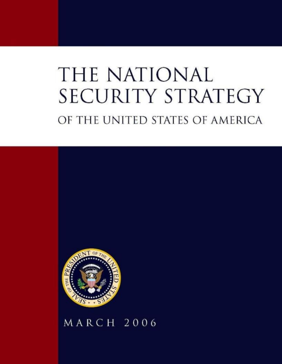# THE NATIONAL SECURITY STRATEGY OF THE UNITED STATES OF AMERICA



MARCH 2006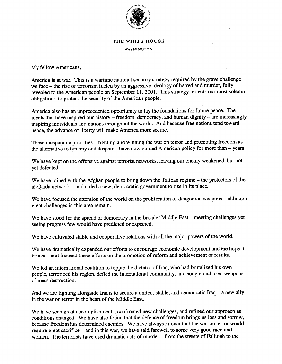

# THE WHITE HOUSE

#### **WASHINGTON**

My fellow Americans,

America is at war. This is a wartime national security strategy required by the grave challenge we face – the rise of terrorism fueled by an aggressive ideology of hatred and murder, fully revealed to the American people on September 11, 2001. This strategy reflects our most solemn obligation: to protect the security of the American people.

America also has an unprecedented opportunity to lay the foundations for future peace. The ideals that have inspired our history – freedom, democracy, and human dignity – are increasingly inspiring individuals and nations throughout the world. And because free nations tend toward peace, the advance of liberty will make America more secure.

These inseparable priorities – fighting and winning the war on terror and promoting freedom as the alternative to tyranny and despair - have now guided American policy for more than 4 years.

We have kept on the offensive against terrorist networks, leaving our enemy weakened, but not yet defeated.

We have joined with the Afghan people to bring down the Taliban regime - the protectors of the al-Qaida network – and aided a new, democratic government to rise in its place.

We have focused the attention of the world on the proliferation of dangerous weapons - although great challenges in this area remain.

We have stood for the spread of democracy in the broader Middle East - meeting challenges yet seeing progress few would have predicted or expected.

We have cultivated stable and cooperative relations with all the major powers of the world.

We have dramatically expanded our efforts to encourage economic development and the hope it brings – and focused these efforts on the promotion of reform and achievement of results.

We led an international coalition to topple the dictator of Iraq, who had brutalized his own people, terrorized his region, defied the international community, and sought and used weapons of mass destruction.

And we are fighting alongside Iraqis to secure a united, stable, and democratic Iraq  $-$  a new ally in the war on terror in the heart of the Middle East.

We have seen great accomplishments, confronted new challenges, and refined our approach as conditions changed. We have also found that the defense of freedom brings us loss and sorrow, because freedom has determined enemies. We have always known that the war on terror would require great sacrifice – and in this war, we have said farewell to some very good men and women. The terrorists have used dramatic acts of murder – from the streets of Fallujah to the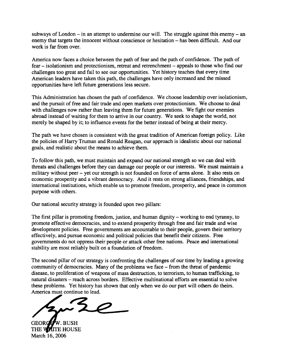subways of London  $-$  in an attempt to undermine our will. The struggle against this enemy  $-$  an enemy that targets the innocent without conscience or hesitation - has been difficult. And our work is far from over.

America now faces a choice between the path of fear and the path of confidence. The path of fear – isolationism and protectionism, retreat and retrenchment – appeals to those who find our challenges too great and fail to see our opportunities. Yet history teaches that every time American leaders have taken this path, the challenges have only increased and the missed opportunities have left future generations less secure.

This Administration has chosen the path of confidence. We choose leadership over isolationism, and the pursuit of free and fair trade and open markets over protectionism. We choose to deal with challenges now rather than leaving them for future generations. We fight our enemies abroad instead of waiting for them to arrive in our country. We seek to shape the world, not merely be shaped by it; to influence events for the better instead of being at their mercy.

The path we have chosen is consistent with the great tradition of American foreign policy. Like the policies of Harry Truman and Ronald Reagan, our approach is idealistic about our national goals, and realistic about the means to achieve them.

To follow this path, we must maintain and expand our national strength so we can deal with threats and challenges before they can damage our people or our interests. We must maintain a military without peer – yet our strength is not founded on force of arms alone. It also rests on economic prosperity and a vibrant democracy. And it rests on strong alliances, friendships, and international institutions, which enable us to promote freedom, prosperity, and peace in common purpose with others.

Our national security strategy is founded upon two pillars:

The first pillar is promoting freedom, justice, and human dignity - working to end tyranny, to promote effective democracies, and to extend prosperity through free and fair trade and wise development policies. Free governments are accountable to their people, govern their territory effectively, and pursue economic and political policies that benefit their citizens. Free governments do not oppress their people or attack other free nations. Peace and international stability are most reliably built on a foundation of freedom.

The second pillar of our strategy is confronting the challenges of our time by leading a growing community of democracies. Many of the problems we face - from the threat of pandemic disease, to proliferation of weapons of mass destruction, to terrorism, to human trafficking, to natural disasters – reach across borders. Effective multinational efforts are essential to solve these problems. Yet history has shown that only when we do our part will others do theirs. America must continue to lead.

 $20$ 

W. BUSH **GEORGE** THE WAITE HOUSE March 16, 2006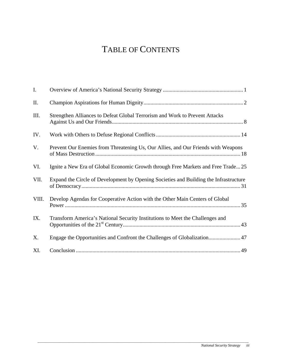# TABLE OF CONTENTS

| I.    |                                                                                       |
|-------|---------------------------------------------------------------------------------------|
| II.   |                                                                                       |
| III.  | Strengthen Alliances to Defeat Global Terrorism and Work to Prevent Attacks           |
| IV.   |                                                                                       |
| V.    | Prevent Our Enemies from Threatening Us, Our Allies, and Our Friends with Weapons     |
| VI.   | Ignite a New Era of Global Economic Growth through Free Markets and Free Trade 25     |
| VII.  | Expand the Circle of Development by Opening Societies and Building the Infrastructure |
| VIII. | Develop Agendas for Cooperative Action with the Other Main Centers of Global          |
| IX.   | Transform America's National Security Institutions to Meet the Challenges and         |
| X.    | Engage the Opportunities and Confront the Challenges of Globalization 47              |
| XI.   |                                                                                       |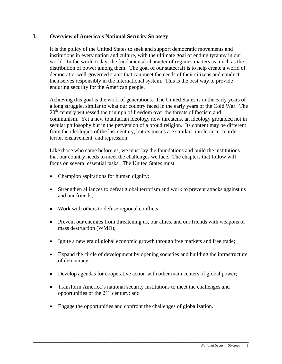#### **I. Overview of America's National Security Strategy**

It is the policy of the United States to seek and support democratic movements and institutions in every nation and culture, with the ultimate goal of ending tyranny in our world. In the world today, the fundamental character of regimes matters as much as the distribution of power among them. The goal of our statecraft is to help create a world of democratic, well-governed states that can meet the needs of their citizens and conduct themselves responsibly in the international system. This is the best way to provide enduring security for the American people.

Achieving this goal is the work of generations. The United States is in the early years of a long struggle, similar to what our country faced in the early years of the Cold War. The  $20<sup>th</sup>$  century witnessed the triumph of freedom over the threats of fascism and communism. Yet a new totalitarian ideology now threatens, an ideology grounded not in secular philosophy but in the perversion of a proud religion. Its content may be different from the ideologies of the last century, but its means are similar: intolerance, murder, terror, enslavement, and repression.

Like those who came before us, we must lay the foundations and build the institutions that our country needs to meet the challenges we face. The chapters that follow will focus on several essential tasks. The United States must:

- Champion aspirations for human dignity;
- Strengthen alliances to defeat global terrorism and work to prevent attacks against us and our friends;
- Work with others to defuse regional conflicts;
- Prevent our enemies from threatening us, our allies, and our friends with weapons of mass destruction (WMD);
- Ignite a new era of global economic growth through free markets and free trade;
- Expand the circle of development by opening societies and building the infrastructure of democracy;
- Develop agendas for cooperative action with other main centers of global power;
- Transform America's national security institutions to meet the challenges and opportunities of the  $21<sup>st</sup>$  century; and
- Engage the opportunities and confront the challenges of globalization.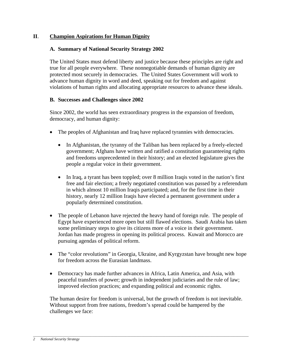# **II**. **Champion Aspirations for Human Dignity**

### **A. Summary of National Security Strategy 2002**

The United States must defend liberty and justice because these principles are right and true for all people everywhere. These nonnegotiable demands of human dignity are protected most securely in democracies. The United States Government will work to advance human dignity in word and deed, speaking out for freedom and against violations of human rights and allocating appropriate resources to advance these ideals.

# **B. Successes and Challenges since 2002**

Since 2002, the world has seen extraordinary progress in the expansion of freedom, democracy, and human dignity:

- The peoples of Afghanistan and Iraq have replaced tyrannies with democracies.
	- In Afghanistan, the tyranny of the Taliban has been replaced by a freely-elected government; Afghans have written and ratified a constitution guaranteeing rights and freedoms unprecedented in their history; and an elected legislature gives the people a regular voice in their government.
	- In Iraq, a tyrant has been toppled; over 8 million Iraq is voted in the nation's first free and fair election; a freely negotiated constitution was passed by a referendum in which almost 10 million Iraqis participated; and, for the first time in their history, nearly 12 million Iraqis have elected a permanent government under a popularly determined constitution.
- The people of Lebanon have rejected the heavy hand of foreign rule. The people of Egypt have experienced more open but still flawed elections. Saudi Arabia has taken some preliminary steps to give its citizens more of a voice in their government. Jordan has made progress in opening its political process. Kuwait and Morocco are pursuing agendas of political reform.
- The "color revolutions" in Georgia, Ukraine, and Kyrgyzstan have brought new hope for freedom across the Eurasian landmass.
- Democracy has made further advances in Africa, Latin America, and Asia, with peaceful transfers of power; growth in independent judiciaries and the rule of law; improved election practices; and expanding political and economic rights.

The human desire for freedom is universal, but the growth of freedom is not inevitable. Without support from free nations, freedom's spread could be hampered by the challenges we face: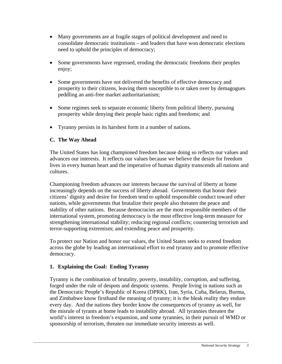- Many governments are at fragile stages of political development and need to consolidate democratic institutions – and leaders that have won democratic elections need to uphold the principles of democracy;
- Some governments have regressed, eroding the democratic freedoms their peoples enjoy;
- Some governments have not delivered the benefits of effective democracy and prosperity to their citizens, leaving them susceptible to or taken over by demagogues peddling an anti-free market authoritarianism;
- Some regimes seek to separate economic liberty from political liberty, pursuing prosperity while denying their people basic rights and freedoms; and
- Tyranny persists in its harshest form in a number of nations.

# **C. The Way Ahead**

The United States has long championed freedom because doing so reflects our values and advances our interests. It reflects our values because we believe the desire for freedom lives in every human heart and the imperative of human dignity transcends all nations and cultures.

Championing freedom advances our interests because the survival of liberty at home increasingly depends on the success of liberty abroad. Governments that honor their citizens' dignity and desire for freedom tend to uphold responsible conduct toward other nations, while governments that brutalize their people also threaten the peace and stability of other nations. Because democracies are the most responsible members of the international system, promoting democracy is the most effective long-term measure for strengthening international stability; reducing regional conflicts; countering terrorism and terror-supporting extremism; and extending peace and prosperity.

To protect our Nation and honor our values, the United States seeks to extend freedom across the globe by leading an international effort to end tyranny and to promote effective democracy.

# **1. Explaining the Goal: Ending Tyranny**

Tyranny is the combination of brutality, poverty, instability, corruption, and suffering, forged under the rule of despots and despotic systems. People living in nations such as the Democratic People's Republic of Korea (DPRK), Iran, Syria, Cuba, Belarus, Burma, and Zimbabwe know firsthand the meaning of tyranny; it is the bleak reality they endure every day. And the nations they border know the consequences of tyranny as well, for the misrule of tyrants at home leads to instability abroad. All tyrannies threaten the world's interest in freedom's expansion, and some tyrannies, in their pursuit of WMD or sponsorship of terrorism, threaten our immediate security interests as well.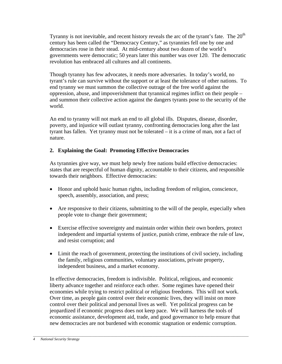Tyranny is not inevitable, and recent history reveals the arc of the tyrant's fate. The  $20<sup>th</sup>$ century has been called the "Democracy Century," as tyrannies fell one by one and democracies rose in their stead. At mid-century about two dozen of the world's governments were democratic; 50 years later this number was over 120. The democratic revolution has embraced all cultures and all continents.

Though tyranny has few advocates, it needs more adversaries. In today's world, no tyrant's rule can survive without the support or at least the tolerance of other nations. To end tyranny we must summon the collective outrage of the free world against the oppression, abuse, and impoverishment that tyrannical regimes inflict on their people – and summon their collective action against the dangers tyrants pose to the security of the world.

An end to tyranny will not mark an end to all global ills. Disputes, disease, disorder, poverty, and injustice will outlast tyranny, confronting democracies long after the last tyrant has fallen. Yet tyranny must not be tolerated – it is a crime of man, not a fact of nature.

# **2. Explaining the Goal: Promoting Effective Democracies**

As tyrannies give way, we must help newly free nations build effective democracies: states that are respectful of human dignity, accountable to their citizens, and responsible towards their neighbors. Effective democracies:

- Honor and uphold basic human rights, including freedom of religion, conscience, speech, assembly, association, and press;
- Are responsive to their citizens, submitting to the will of the people, especially when people vote to change their government;
- Exercise effective sovereignty and maintain order within their own borders, protect independent and impartial systems of justice, punish crime, embrace the rule of law, and resist corruption; and
- Limit the reach of government, protecting the institutions of civil society, including the family, religious communities, voluntary associations, private property, independent business, and a market economy.

In effective democracies, freedom is indivisible. Political, religious, and economic liberty advance together and reinforce each other. Some regimes have opened their economies while trying to restrict political or religious freedoms. This will not work. Over time, as people gain control over their economic lives, they will insist on more control over their political and personal lives as well. Yet political progress can be jeopardized if economic progress does not keep pace. We will harness the tools of economic assistance, development aid, trade, and good governance to help ensure that new democracies are not burdened with economic stagnation or endemic corruption.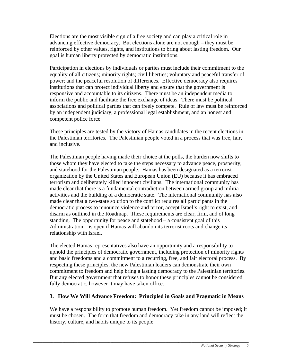Elections are the most visible sign of a free society and can play a critical role in advancing effective democracy. But elections alone are not enough – they must be reinforced by other values, rights, and institutions to bring about lasting freedom. Our goal is human liberty protected by democratic institutions.

Participation in elections by individuals or parties must include their commitment to the equality of all citizens; minority rights; civil liberties; voluntary and peaceful transfer of power; and the peaceful resolution of differences. Effective democracy also requires institutions that can protect individual liberty and ensure that the government is responsive and accountable to its citizens. There must be an independent media to inform the public and facilitate the free exchange of ideas. There must be political associations and political parties that can freely compete. Rule of law must be reinforced by an independent judiciary, a professional legal establishment, and an honest and competent police force.

These principles are tested by the victory of Hamas candidates in the recent elections in the Palestinian territories. The Palestinian people voted in a process that was free, fair, and inclusive.

The Palestinian people having made their choice at the polls, the burden now shifts to those whom they have elected to take the steps necessary to advance peace, prosperity, and statehood for the Palestinian people. Hamas has been designated as a terrorist organization by the United States and European Union (EU) because it has embraced terrorism and deliberately killed innocent civilians. The international community has made clear that there is a fundamental contradiction between armed group and militia activities and the building of a democratic state. The international community has also made clear that a two-state solution to the conflict requires all participants in the democratic process to renounce violence and terror, accept Israel's right to exist, and disarm as outlined in the Roadmap. These requirements are clear, firm, and of long standing. The opportunity for peace and statehood – a consistent goal of this Administration – is open if Hamas will abandon its terrorist roots and change its relationship with Israel.

The elected Hamas representatives also have an opportunity and a responsibility to uphold the principles of democratic government, including protection of minority rights and basic freedoms and a commitment to a recurring, free, and fair electoral process. By respecting these principles, the new Palestinian leaders can demonstrate their own commitment to freedom and help bring a lasting democracy to the Palestinian territories. But any elected government that refuses to honor these principles cannot be considered fully democratic, however it may have taken office.

#### **3. How We Will Advance Freedom: Principled in Goals and Pragmatic in Means**

We have a responsibility to promote human freedom. Yet freedom cannot be imposed; it must be chosen. The form that freedom and democracy take in any land will reflect the history, culture, and habits unique to its people.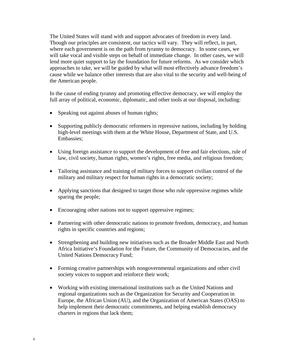The United States will stand with and support advocates of freedom in every land. Though our principles are consistent, our tactics will vary. They will reflect, in part, where each government is on the path from tyranny to democracy. In some cases, we will take vocal and visible steps on behalf of immediate change. In other cases, we will lend more quiet support to lay the foundation for future reforms. As we consider which approaches to take, we will be guided by what will most effectively advance freedom's cause while we balance other interests that are also vital to the security and well-being of the American people.

In the cause of ending tyranny and promoting effective democracy, we will employ the full array of political, economic, diplomatic, and other tools at our disposal, including:

- Speaking out against abuses of human rights;
- Supporting publicly democratic reformers in repressive nations, including by holding high-level meetings with them at the White House, Department of State, and U.S. Embassies;
- Using foreign assistance to support the development of free and fair elections, rule of law, civil society, human rights, women's rights, free media, and religious freedom;
- Tailoring assistance and training of military forces to support civilian control of the military and military respect for human rights in a democratic society;
- Applying sanctions that designed to target those who rule oppressive regimes while sparing the people;
- Encouraging other nations not to support oppressive regimes;
- Partnering with other democratic nations to promote freedom, democracy, and human rights in specific countries and regions;
- Strengthening and building new initiatives such as the Broader Middle East and North Africa Initiative's Foundation for the Future, the Community of Democracies, and the United Nations Democracy Fund;
- Forming creative partnerships with nongovernmental organizations and other civil society voices to support and reinforce their work;
- Working with existing international institutions such as the United Nations and regional organizations such as the Organization for Security and Cooperation in Europe, the African Union (AU), and the Organization of American States (OAS) to help implement their democratic commitments, and helping establish democracy charters in regions that lack them;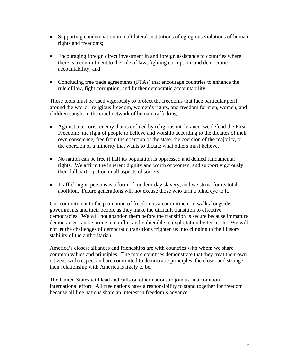- Supporting condemnation in multilateral institutions of egregious violations of human rights and freedoms;
- Encouraging foreign direct investment in and foreign assistance to countries where there is a commitment to the rule of law, fighting corruption, and democratic accountability; and
- Concluding free trade agreements (FTAs) that encourage countries to enhance the rule of law, fight corruption, and further democratic accountability.

These tools must be used vigorously to protect the freedoms that face particular peril around the world: religious freedom, women's rights, and freedom for men, women, and children caught in the cruel network of human trafficking.

- Against a terrorist enemy that is defined by religious intolerance, we defend the First Freedom: the right of people to believe and worship according to the dictates of their own conscience, free from the coercion of the state, the coercion of the majority, or the coercion of a minority that wants to dictate what others must believe.
- No nation can be free if half its population is oppressed and denied fundamental rights. We affirm the inherent dignity and worth of women, and support vigorously their full participation in all aspects of society.
- Trafficking in persons is a form of modern-day slavery, and we strive for its total abolition. Future generations will not excuse those who turn a blind eye to it.

Our commitment to the promotion of freedom is a commitment to walk alongside governments and their people as they make the difficult transition to effective democracies. We will not abandon them before the transition is secure because immature democracies can be prone to conflict and vulnerable to exploitation by terrorists. We will not let the challenges of democratic transitions frighten us into clinging to the illusory stability of the authoritarian.

America's closest alliances and friendships are with countries with whom we share common values and principles. The more countries demonstrate that they treat their own citizens with respect and are committed to democratic principles, the closer and stronger their relationship with America is likely to be.

The United States will lead and calls on other nations to join us in a common international effort. All free nations have a responsibility to stand together for freedom because all free nations share an interest in freedom's advance.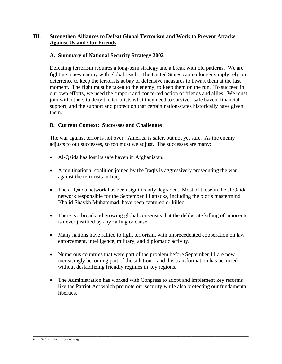#### **III**. **Strengthen Alliances to Defeat Global Terrorism and Work to Prevent Attacks Against Us and Our Friends**

# **A. Summary of National Security Strategy 2002**

Defeating terrorism requires a long-term strategy and a break with old patterns. We are fighting a new enemy with global reach. The United States can no longer simply rely on deterrence to keep the terrorists at bay or defensive measures to thwart them at the last moment. The fight must be taken to the enemy, to keep them on the run. To succeed in our own efforts, we need the support and concerted action of friends and allies. We must join with others to deny the terrorists what they need to survive: safe haven, financial support, and the support and protection that certain nation-states historically have given them.

# **B. Current Context: Successes and Challenges**

The war against terror is not over. America is safer, but not yet safe. As the enemy adjusts to our successes, so too must we adjust. The successes are many:

- Al-Qaida has lost its safe haven in Afghanistan.
- A multinational coalition joined by the Iraqis is aggressively prosecuting the war against the terrorists in Iraq.
- The al-Qaida network has been significantly degraded. Most of those in the al-Qaida network responsible for the September 11 attacks, including the plot's mastermind Khalid Shaykh Muhammad, have been captured or killed.
- There is a broad and growing global consensus that the deliberate killing of innocents is never justified by any calling or cause.
- Many nations have rallied to fight terrorism, with unprecedented cooperation on law enforcement, intelligence, military, and diplomatic activity.
- Numerous countries that were part of the problem before September 11 are now increasingly becoming part of the solution – and this transformation has occurred without destabilizing friendly regimes in key regions.
- The Administration has worked with Congress to adopt and implement key reforms like the Patriot Act which promote our security while also protecting our fundamental liberties.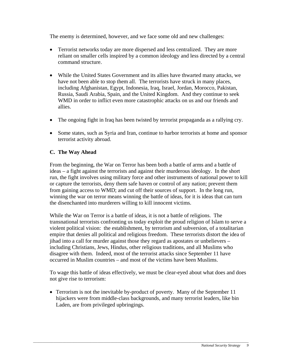The enemy is determined, however, and we face some old and new challenges:

- Terrorist networks today are more dispersed and less centralized. They are more reliant on smaller cells inspired by a common ideology and less directed by a central command structure.
- While the United States Government and its allies have thwarted many attacks, we have not been able to stop them all. The terrorists have struck in many places, including Afghanistan, Egypt, Indonesia, Iraq, Israel, Jordan, Morocco, Pakistan, Russia, Saudi Arabia, Spain, and the United Kingdom. And they continue to seek WMD in order to inflict even more catastrophic attacks on us and our friends and allies.
- The ongoing fight in Iraq has been twisted by terrorist propaganda as a rallying cry.
- Some states, such as Syria and Iran, continue to harbor terrorists at home and sponsor terrorist activity abroad.

# **C. The Way Ahead**

From the beginning, the War on Terror has been both a battle of arms and a battle of ideas – a fight against the terrorists and against their murderous ideology. In the short run, the fight involves using military force and other instruments of national power to kill or capture the terrorists, deny them safe haven or control of any nation; prevent them from gaining access to WMD; and cut off their sources of support. In the long run, winning the war on terror means winning the battle of ideas, for it is ideas that can turn the disenchanted into murderers willing to kill innocent victims.

While the War on Terror is a battle of ideas, it is not a battle of religions. The transnational terrorists confronting us today exploit the proud religion of Islam to serve a violent political vision: the establishment, by terrorism and subversion, of a totalitarian empire that denies all political and religious freedom. These terrorists distort the idea of jihad into a call for murder against those they regard as apostates or unbelievers – including Christians, Jews, Hindus, other religious traditions, and all Muslims who disagree with them. Indeed, most of the terrorist attacks since September 11 have occurred in Muslim countries – and most of the victims have been Muslims.

To wage this battle of ideas effectively, we must be clear-eyed about what does and does not give rise to terrorism:

• Terrorism is not the inevitable by-product of poverty. Many of the September 11 hijackers were from middle-class backgrounds, and many terrorist leaders, like bin Laden, are from privileged upbringings.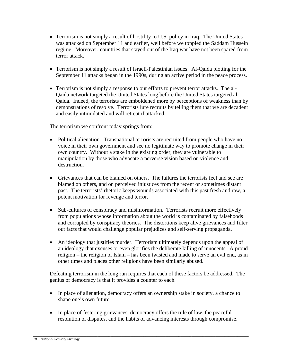- Terrorism is not simply a result of hostility to U.S. policy in Iraq. The United States was attacked on September 11 and earlier, well before we toppled the Saddam Hussein regime. Moreover, countries that stayed out of the Iraq war have not been spared from terror attack.
- Terrorism is not simply a result of Israeli-Palestinian issues. Al-Qaida plotting for the September 11 attacks began in the 1990s, during an active period in the peace process.
- Terrorism is not simply a response to our efforts to prevent terror attacks. The al-Qaida network targeted the United States long before the United States targeted al-Qaida. Indeed, the terrorists are emboldened more by perceptions of weakness than by demonstrations of resolve. Terrorists lure recruits by telling them that we are decadent and easily intimidated and will retreat if attacked.

The terrorism we confront today springs from:

- Political alienation. Transnational terrorists are recruited from people who have no voice in their own government and see no legitimate way to promote change in their own country. Without a stake in the existing order, they are vulnerable to manipulation by those who advocate a perverse vision based on violence and destruction.
- Grievances that can be blamed on others. The failures the terrorists feel and see are blamed on others, and on perceived injustices from the recent or sometimes distant past. The terrorists' rhetoric keeps wounds associated with this past fresh and raw, a potent motivation for revenge and terror.
- Sub-cultures of conspiracy and misinformation. Terrorists recruit more effectively from populations whose information about the world is contaminated by falsehoods and corrupted by conspiracy theories. The distortions keep alive grievances and filter out facts that would challenge popular prejudices and self-serving propaganda.
- An ideology that justifies murder. Terrorism ultimately depends upon the appeal of an ideology that excuses or even glorifies the deliberate killing of innocents. A proud religion – the religion of Islam – has been twisted and made to serve an evil end, as in other times and places other religions have been similarly abused.

Defeating terrorism in the long run requires that each of these factors be addressed. The genius of democracy is that it provides a counter to each.

- In place of alienation, democracy offers an ownership stake in society, a chance to shape one's own future.
- In place of festering grievances, democracy offers the rule of law, the peaceful resolution of disputes, and the habits of advancing interests through compromise.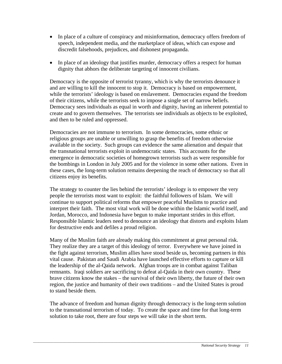- In place of a culture of conspiracy and misinformation, democracy offers freedom of speech, independent media, and the marketplace of ideas, which can expose and discredit falsehoods, prejudices, and dishonest propaganda.
- In place of an ideology that justifies murder, democracy offers a respect for human dignity that abhors the deliberate targeting of innocent civilians.

Democracy is the opposite of terrorist tyranny, which is why the terrorists denounce it and are willing to kill the innocent to stop it. Democracy is based on empowerment, while the terrorists' ideology is based on enslavement. Democracies expand the freedom of their citizens, while the terrorists seek to impose a single set of narrow beliefs. Democracy sees individuals as equal in worth and dignity, having an inherent potential to create and to govern themselves. The terrorists see individuals as objects to be exploited, and then to be ruled and oppressed.

Democracies are not immune to terrorism. In some democracies, some ethnic or religious groups are unable or unwilling to grasp the benefits of freedom otherwise available in the society. Such groups can evidence the same alienation and despair that the transnational terrorists exploit in undemocratic states. This accounts for the emergence in democratic societies of homegrown terrorists such as were responsible for the bombings in London in July 2005 and for the violence in some other nations. Even in these cases, the long-term solution remains deepening the reach of democracy so that all citizens enjoy its benefits.

The strategy to counter the lies behind the terrorists' ideology is to empower the very people the terrorists most want to exploit: the faithful followers of Islam. We will continue to support political reforms that empower peaceful Muslims to practice and interpret their faith. The most vital work will be done within the Islamic world itself, and Jordan, Morocco, and Indonesia have begun to make important strides in this effort. Responsible Islamic leaders need to denounce an ideology that distorts and exploits Islam for destructive ends and defiles a proud religion.

Many of the Muslim faith are already making this commitment at great personal risk. They realize they are a target of this ideology of terror. Everywhere we have joined in the fight against terrorism, Muslim allies have stood beside us, becoming partners in this vital cause. Pakistan and Saudi Arabia have launched effective efforts to capture or kill the leadership of the al-Qaida network. Afghan troops are in combat against Taliban remnants. Iraqi soldiers are sacrificing to defeat al-Qaida in their own country. These brave citizens know the stakes – the survival of their own liberty, the future of their own region, the justice and humanity of their own traditions – and the United States is proud to stand beside them.

The advance of freedom and human dignity through democracy is the long-term solution to the transnational terrorism of today. To create the space and time for that long-term solution to take root, there are four steps we will take in the short term.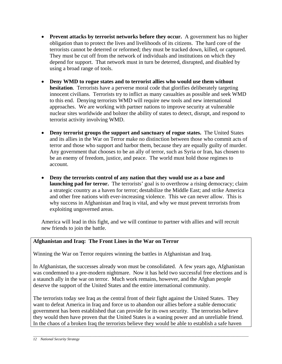- **Prevent attacks by terrorist networks before they occur.** A government has no higher obligation than to protect the lives and livelihoods of its citizens. The hard core of the terrorists cannot be deterred or reformed; they must be tracked down, killed, or captured. They must be cut off from the network of individuals and institutions on which they depend for support. That network must in turn be deterred, disrupted, and disabled by using a broad range of tools.
- **Deny WMD to rogue states and to terrorist allies who would use them without hesitation**. Terrorists have a perverse moral code that glorifies deliberately targeting innocent civilians. Terrorists try to inflict as many casualties as possible and seek WMD to this end. Denying terrorists WMD will require new tools and new international approaches. We are working with partner nations to improve security at vulnerable nuclear sites worldwide and bolster the ability of states to detect, disrupt, and respond to terrorist activity involving WMD.
- **Deny terrorist groups the support and sanctuary of rogue states.** The United States and its allies in the War on Terror make no distinction between those who commit acts of terror and those who support and harbor them, because they are equally guilty of murder. Any government that chooses to be an ally of terror, such as Syria or Iran, has chosen to be an enemy of freedom, justice, and peace. The world must hold those regimes to account.
- **Deny the terrorists control of any nation that they would use as a base and launching pad for terror.** The terrorists' goal is to overthrow a rising democracy; claim a strategic country as a haven for terror; destabilize the Middle East; and strike America and other free nations with ever-increasing violence. This we can never allow. This is why success in Afghanistan and Iraq is vital, and why we must prevent terrorists from exploiting ungoverned areas.

America will lead in this fight, and we will continue to partner with allies and will recruit new friends to join the battle.

# **Afghanistan and Iraq: The Front Lines in the War on Terror**

Winning the War on Terror requires winning the battles in Afghanistan and Iraq.

In Afghanistan, the successes already won must be consolidated. A few years ago, Afghanistan was condemned to a pre-modern nightmare. Now it has held two successful free elections and is a staunch ally in the war on terror. Much work remains, however, and the Afghan people deserve the support of the United States and the entire international community.

The terrorists today see Iraq as the central front of their fight against the United States. They want to defeat America in Iraq and force us to abandon our allies before a stable democratic government has been established that can provide for its own security. The terrorists believe they would then have proven that the United States is a waning power and an unreliable friend. In the chaos of a broken Iraq the terrorists believe they would be able to establish a safe haven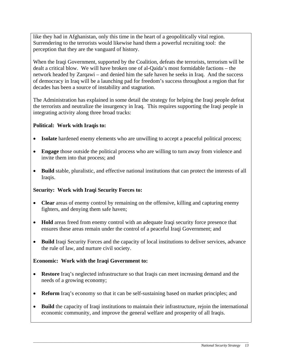like they had in Afghanistan, only this time in the heart of a geopolitically vital region. Surrendering to the terrorists would likewise hand them a powerful recruiting tool: the perception that they are the vanguard of history.

When the Iraqi Government, supported by the Coalition, defeats the terrorists, terrorism will be dealt a critical blow. We will have broken one of al-Qaida's most formidable factions – the network headed by Zarqawi – and denied him the safe haven he seeks in Iraq. And the success of democracy in Iraq will be a launching pad for freedom's success throughout a region that for decades has been a source of instability and stagnation.

The Administration has explained in some detail the strategy for helping the Iraqi people defeat the terrorists and neutralize the insurgency in Iraq. This requires supporting the Iraqi people in integrating activity along three broad tracks:

# **Political: Work with Iraqis to:**

- **Isolate** hardened enemy elements who are unwilling to accept a peaceful political process;
- **Engage** those outside the political process who are willing to turn away from violence and invite them into that process; and
- **Build** stable, pluralistic, and effective national institutions that can protect the interests of all Iraqis.

#### **Security: Work with Iraqi Security Forces to:**

- **Clear** areas of enemy control by remaining on the offensive, killing and capturing enemy fighters, and denying them safe haven;
- **Hold** areas freed from enemy control with an adequate Iraqi security force presence that ensures these areas remain under the control of a peaceful Iraqi Government; and
- **Build** Iraqi Security Forces and the capacity of local institutions to deliver services, advance the rule of law, and nurture civil society.

# **Economic: Work with the Iraqi Government to:**

- **Restore** Iraq's neglected infrastructure so that Iraqis can meet increasing demand and the needs of a growing economy;
- **Reform** Iraq's economy so that it can be self-sustaining based on market principles; and
- **Build** the capacity of Iraqi institutions to maintain their infrastructure, rejoin the international economic community, and improve the general welfare and prosperity of all Iraqis.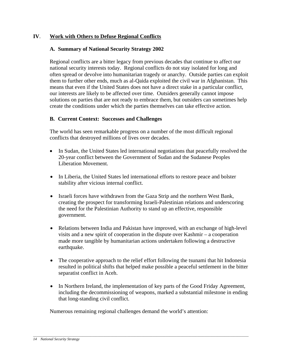# **IV**. **Work with Others to Defuse Regional Conflicts**

#### **A. Summary of National Security Strategy 2002**

Regional conflicts are a bitter legacy from previous decades that continue to affect our national security interests today. Regional conflicts do not stay isolated for long and often spread or devolve into humanitarian tragedy or anarchy. Outside parties can exploit them to further other ends, much as al-Qaida exploited the civil war in Afghanistan. This means that even if the United States does not have a direct stake in a particular conflict, our interests are likely to be affected over time. Outsiders generally cannot impose solutions on parties that are not ready to embrace them, but outsiders can sometimes help create the conditions under which the parties themselves can take effective action.

# **B. Current Context: Successes and Challenges**

The world has seen remarkable progress on a number of the most difficult regional conflicts that destroyed millions of lives over decades.

- In Sudan, the United States led international negotiations that peacefully resolved the 20-year conflict between the Government of Sudan and the Sudanese Peoples Liberation Movement.
- In Liberia, the United States led international efforts to restore peace and bolster stability after vicious internal conflict.
- Israeli forces have withdrawn from the Gaza Strip and the northern West Bank, creating the prospect for transforming Israeli-Palestinian relations and underscoring the need for the Palestinian Authority to stand up an effective, responsible government.
- Relations between India and Pakistan have improved, with an exchange of high-level visits and a new spirit of cooperation in the dispute over Kashmir – a cooperation made more tangible by humanitarian actions undertaken following a destructive earthquake.
- The cooperative approach to the relief effort following the tsunami that hit Indonesia resulted in political shifts that helped make possible a peaceful settlement in the bitter separatist conflict in Aceh.
- In Northern Ireland, the implementation of key parts of the Good Friday Agreement, including the decommissioning of weapons, marked a substantial milestone in ending that long-standing civil conflict.

Numerous remaining regional challenges demand the world's attention: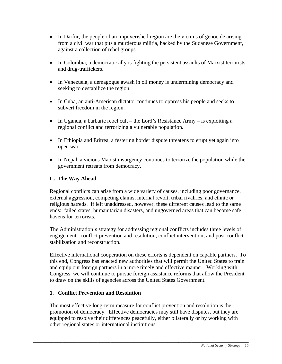- In Darfur, the people of an impoverished region are the victims of genocide arising from a civil war that pits a murderous militia, backed by the Sudanese Government, against a collection of rebel groups.
- In Colombia, a democratic ally is fighting the persistent assaults of Marxist terrorists and drug-traffickers.
- In Venezuela, a demagogue awash in oil money is undermining democracy and seeking to destabilize the region.
- In Cuba, an anti-American dictator continues to oppress his people and seeks to subvert freedom in the region.
- In Uganda, a barbaric rebel cult the Lord's Resistance Army is exploiting a regional conflict and terrorizing a vulnerable population.
- In Ethiopia and Eritrea, a festering border dispute threatens to erupt yet again into open war.
- In Nepal, a vicious Maoist insurgency continues to terrorize the population while the government retreats from democracy.

# **C. The Way Ahead**

Regional conflicts can arise from a wide variety of causes, including poor governance, external aggression, competing claims, internal revolt, tribal rivalries, and ethnic or religious hatreds. If left unaddressed, however, these different causes lead to the same ends: failed states, humanitarian disasters, and ungoverned areas that can become safe havens for terrorists.

The Administration's strategy for addressing regional conflicts includes three levels of engagement: conflict prevention and resolution; conflict intervention; and post-conflict stabilization and reconstruction.

Effective international cooperation on these efforts is dependent on capable partners. To this end, Congress has enacted new authorities that will permit the United States to train and equip our foreign partners in a more timely and effective manner. Working with Congress, we will continue to pursue foreign assistance reforms that allow the President to draw on the skills of agencies across the United States Government.

#### **1. Conflict Prevention and Resolution**

The most effective long-term measure for conflict prevention and resolution is the promotion of democracy. Effective democracies may still have disputes, but they are equipped to resolve their differences peacefully, either bilaterally or by working with other regional states or international institutions.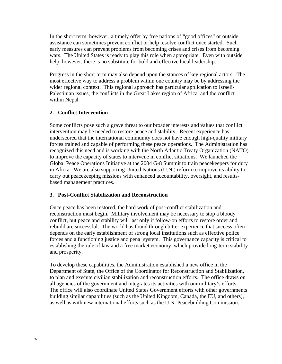In the short term, however, a timely offer by free nations of "good offices" or outside assistance can sometimes prevent conflict or help resolve conflict once started. Such early measures can prevent problems from becoming crises and crises from becoming wars. The United States is ready to play this role when appropriate. Even with outside help, however, there is no substitute for bold and effective local leadership.

Progress in the short term may also depend upon the stances of key regional actors. The most effective way to address a problem within one country may be by addressing the wider regional context. This regional approach has particular application to Israeli-Palestinian issues, the conflicts in the Great Lakes region of Africa, and the conflict within Nepal.

#### **2. Conflict Intervention**

Some conflicts pose such a grave threat to our broader interests and values that conflict intervention may be needed to restore peace and stability. Recent experience has underscored that the international community does not have enough high-quality military forces trained and capable of performing these peace operations. The Administration has recognized this need and is working with the North Atlantic Treaty Organization (NATO) to improve the capacity of states to intervene in conflict situations. We launched the Global Peace Operations Initiative at the 2004 G-8 Summit to train peacekeepers for duty in Africa. We are also supporting United Nations (U.N.) reform to improve its ability to carry out peacekeeping missions with enhanced accountability, oversight, and resultsbased management practices.

#### **3. Post-Conflict Stabilization and Reconstruction**

Once peace has been restored, the hard work of post-conflict stabilization and reconstruction must begin. Military involvement may be necessary to stop a bloody conflict, but peace and stability will last only if follow-on efforts to restore order and rebuild are successful. The world has found through bitter experience that success often depends on the early establishment of strong local institutions such as effective police forces and a functioning justice and penal system. This governance capacity is critical to establishing the rule of law and a free market economy, which provide long-term stability and prosperity.

To develop these capabilities, the Administration established a new office in the Department of State, the Office of the Coordinator for Reconstruction and Stabilization, to plan and execute civilian stabilization and reconstruction efforts. The office draws on all agencies of the government and integrates its activities with our military's efforts. The office will also coordinate United States Government efforts with other governments building similar capabilities (such as the United Kingdom, Canada, the EU, and others), as well as with new international efforts such as the U.N. Peacebuilding Commission.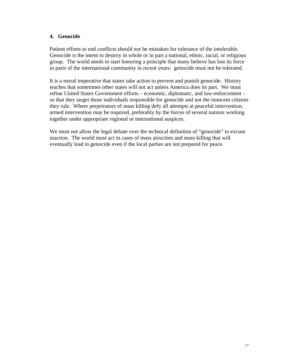#### **4. Genocide**

Patient efforts to end conflicts should not be mistaken for tolerance of the intolerable. Genocide is the intent to destroy in whole or in part a national, ethnic, racial, or religious group. The world needs to start honoring a principle that many believe has lost its force in parts of the international community in recent years: genocide must not be tolerated.

It is a moral imperative that states take action to prevent and punish genocide. History teaches that sometimes other states will not act unless America does its part. We must refine United States Government efforts – economic, diplomatic, and law-enforcement – so that they target those individuals responsible for genocide and not the innocent citizens they rule. Where perpetrators of mass killing defy all attempts at peaceful intervention, armed intervention may be required, preferably by the forces of several nations working together under appropriate regional or international auspices.

We must not allow the legal debate over the technical definition of "genocide" to excuse inaction. The world must act in cases of mass atrocities and mass killing that will eventually lead to genocide even if the local parties are not prepared for peace.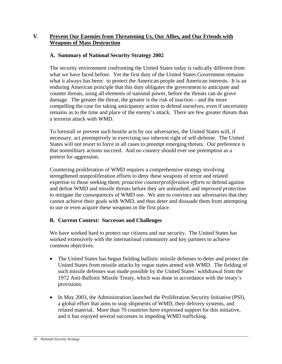# **V**. **Prevent Our Enemies from Threatening Us, Our Allies, and Our Friends with Weapons of Mass Destruction**

# **A. Summary of National Security Strategy 2002**

The security environment confronting the United States today is radically different from what we have faced before. Yet the first duty of the United States Government remains what it always has been: to protect the American people and American interests. It is an enduring American principle that this duty obligates the government to anticipate and counter threats, using all elements of national power, before the threats can do grave damage. The greater the threat, the greater is the risk of inaction – and the more compelling the case for taking anticipatory action to defend ourselves, even if uncertainty remains as to the time and place of the enemy's attack. There are few greater threats than a terrorist attack with WMD.

To forestall or prevent such hostile acts by our adversaries, the United States will, if necessary, act preemptively in exercising our inherent right of self-defense. The United States will not resort to force in all cases to preempt emerging threats. Our preference is that nonmilitary actions succeed. And no country should ever use preemption as a pretext for aggression.

Countering proliferation of WMD requires a comprehensive strategy involving strengthened nonproliferation efforts to deny these weapons of terror and related expertise to those seeking them; *proactive counterproliferation efforts* to defend against and defeat WMD and missile threats before they are unleashed; and *improved protection* to mitigate the consequences of WMD use. We aim to convince our adversaries that they cannot achieve their goals with WMD, and thus deter and dissuade them from attempting to use or even acquire these weapons in the first place.

# **B. Current Context: Successes and Challenges**

We have worked hard to protect our citizens and our security. The United States has worked extensively with the international community and key partners to achieve common objectives.

- The United States has begun fielding ballistic missile defenses to deter and protect the United States from missile attacks by rogue states armed with WMD. The fielding of such missile defenses was made possible by the United States' withdrawal from the 1972 Anti-Ballistic Missile Treaty, which was done in accordance with the treaty's provisions.
- In May 2003, the Administration launched the Proliferation Security Initiative (PSI), a global effort that aims to stop shipments of WMD, their delivery systems, and related material. More than 70 countries have expressed support for this initiative, and it has enjoyed several successes in impeding WMD trafficking.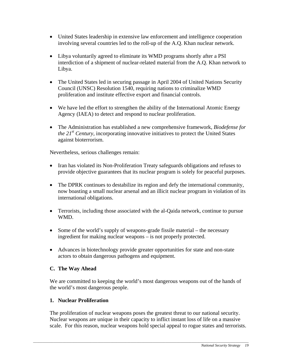- United States leadership in extensive law enforcement and intelligence cooperation involving several countries led to the roll-up of the A.Q. Khan nuclear network.
- Libya voluntarily agreed to eliminate its WMD programs shortly after a PSI interdiction of a shipment of nuclear-related material from the A.Q. Khan network to Libya.
- The United States led in securing passage in April 2004 of United Nations Security Council (UNSC) Resolution 1540, requiring nations to criminalize WMD proliferation and institute effective export and financial controls.
- We have led the effort to strengthen the ability of the International Atomic Energy Agency (IAEA) to detect and respond to nuclear proliferation.
- The Administration has established a new comprehensive framework, *Biodefense for the 21st Century*, incorporating innovative initiatives to protect the United States against bioterrorism.

Nevertheless, serious challenges remain:

- Iran has violated its Non-Proliferation Treaty safeguards obligations and refuses to provide objective guarantees that its nuclear program is solely for peaceful purposes.
- The DPRK continues to destabilize its region and defy the international community, now boasting a small nuclear arsenal and an illicit nuclear program in violation of its international obligations.
- Terrorists, including those associated with the al-Qaida network, continue to pursue WMD.
- Some of the world's supply of weapons-grade fissile material the necessary ingredient for making nuclear weapons – is not properly protected.
- Advances in biotechnology provide greater opportunities for state and non-state actors to obtain dangerous pathogens and equipment.

#### **C. The Way Ahead**

We are committed to keeping the world's most dangerous weapons out of the hands of the world's most dangerous people.

#### **1. Nuclear Proliferation**

The proliferation of nuclear weapons poses the greatest threat to our national security. Nuclear weapons are unique in their capacity to inflict instant loss of life on a massive scale. For this reason, nuclear weapons hold special appeal to rogue states and terrorists.

*\_\_\_\_\_\_\_\_\_\_\_\_\_\_\_\_\_\_\_\_\_\_\_\_\_\_\_\_\_\_\_\_\_\_\_\_\_\_\_\_\_\_\_\_\_\_\_\_\_\_\_\_\_\_\_\_\_\_\_\_\_\_\_\_\_\_\_\_\_\_\_\_\_\_\_\_\_\_\_\_\_\_\_\_\_\_\_\_\_\_\_\_\_\_\_\_\_\_\_\_\_\_\_\_\_\_\_\_\_\_\_\_\_\_\_\_\_*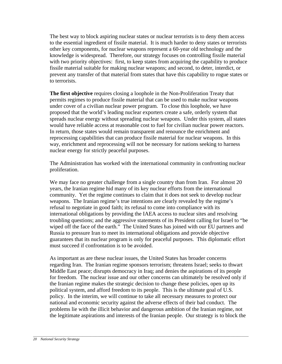The best way to block aspiring nuclear states or nuclear terrorists is to deny them access to the essential ingredient of fissile material. It is much harder to deny states or terrorists other key components, for nuclear weapons represent a 60-year old technology and the knowledge is widespread. Therefore, our strategy focuses on controlling fissile material with two priority objectives: first, to keep states from acquiring the capability to produce fissile material suitable for making nuclear weapons; and second, to deter, interdict, or prevent any transfer of that material from states that have this capability to rogue states or to terrorists.

**The first objective** requires closing a loophole in the Non-Proliferation Treaty that permits regimes to produce fissile material that can be used to make nuclear weapons under cover of a civilian nuclear power program. To close this loophole, we have proposed that the world's leading nuclear exporters create a safe, orderly system that spreads nuclear energy without spreading nuclear weapons. Under this system, all states would have reliable access at reasonable cost to fuel for civilian nuclear power reactors. In return, those states would remain transparent and renounce the enrichment and reprocessing capabilities that can produce fissile material for nuclear weapons. In this way, enrichment and reprocessing will not be necessary for nations seeking to harness nuclear energy for strictly peaceful purposes.

The Administration has worked with the international community in confronting nuclear proliferation.

We may face no greater challenge from a single country than from Iran. For almost 20 years, the Iranian regime hid many of its key nuclear efforts from the international community. Yet the regime continues to claim that it does not seek to develop nuclear weapons. The Iranian regime's true intentions are clearly revealed by the regime's refusal to negotiate in good faith; its refusal to come into compliance with its international obligations by providing the IAEA access to nuclear sites and resolving troubling questions; and the aggressive statements of its President calling for Israel to "be wiped off the face of the earth." The United States has joined with our EU partners and Russia to pressure Iran to meet its international obligations and provide objective guarantees that its nuclear program is only for peaceful purposes. This diplomatic effort must succeed if confrontation is to be avoided.

As important as are these nuclear issues, the United States has broader concerns regarding Iran. The Iranian regime sponsors terrorism; threatens Israel; seeks to thwart Middle East peace; disrupts democracy in Iraq; and denies the aspirations of its people for freedom. The nuclear issue and our other concerns can ultimately be resolved only if the Iranian regime makes the strategic decision to change these policies, open up its political system, and afford freedom to its people. This is the ultimate goal of U.S. policy. In the interim, we will continue to take all necessary measures to protect our national and economic security against the adverse effects of their bad conduct. The problems lie with the illicit behavior and dangerous ambition of the Iranian regime, not the legitimate aspirations and interests of the Iranian people. Our strategy is to block the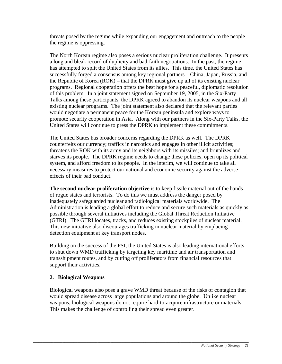threats posed by the regime while expanding our engagement and outreach to the people the regime is oppressing.

The North Korean regime also poses a serious nuclear proliferation challenge. It presents a long and bleak record of duplicity and bad-faith negotiations. In the past, the regime has attempted to split the United States from its allies. This time, the United States has successfully forged a consensus among key regional partners – China, Japan, Russia, and the Republic of Korea (ROK) – that the DPRK must give up all of its existing nuclear programs. Regional cooperation offers the best hope for a peaceful, diplomatic resolution of this problem. In a joint statement signed on September 19, 2005, in the Six-Party Talks among these participants, the DPRK agreed to abandon its nuclear weapons and all existing nuclear programs. The joint statement also declared that the relevant parties would negotiate a permanent peace for the Korean peninsula and explore ways to promote security cooperation in Asia. Along with our partners in the Six-Party Talks, the United States will continue to press the DPRK to implement these commitments.

The United States has broader concerns regarding the DPRK as well. The DPRK counterfeits our currency; traffics in narcotics and engages in other illicit activities; threatens the ROK with its army and its neighbors with its missiles; and brutalizes and starves its people. The DPRK regime needs to change these policies, open up its political system, and afford freedom to its people. In the interim, we will continue to take all necessary measures to protect our national and economic security against the adverse effects of their bad conduct.

**The second nuclear proliferation objective** is to keep fissile material out of the hands of rogue states and terrorists. To do this we must address the danger posed by inadequately safeguarded nuclear and radiological materials worldwide. The Administration is leading a global effort to reduce and secure such materials as quickly as possible through several initiatives including the Global Threat Reduction Initiative (GTRI). The GTRI locates, tracks, and reduces existing stockpiles of nuclear material. This new initiative also discourages trafficking in nuclear material by emplacing detection equipment at key transport nodes.

Building on the success of the PSI, the United States is also leading international efforts to shut down WMD trafficking by targeting key maritime and air transportation and transshipment routes, and by cutting off proliferators from financial resources that support their activities.

#### **2. Biological Weapons**

Biological weapons also pose a grave WMD threat because of the risks of contagion that would spread disease across large populations and around the globe. Unlike nuclear weapons, biological weapons do not require hard-to-acquire infrastructure or materials. This makes the challenge of controlling their spread even greater.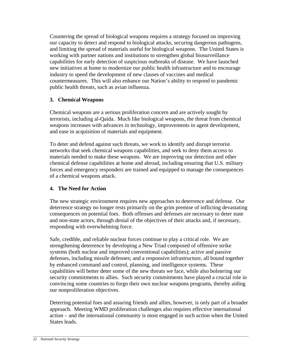Countering the spread of biological weapons requires a strategy focused on improving our capacity to detect and respond to biological attacks, securing dangerous pathogens, and limiting the spread of materials useful for biological weapons. The United States is working with partner nations and institutions to strengthen global biosurveillance capabilities for early detection of suspicious outbreaks of disease. We have launched new initiatives at home to modernize our public health infrastructure and to encourage industry to speed the development of new classes of vaccines and medical countermeasures. This will also enhance our Nation's ability to respond to pandemic public health threats, such as avian influenza.

# **3. Chemical Weapons**

Chemical weapons are a serious proliferation concern and are actively sought by terrorists, including al-Qaida. Much like biological weapons, the threat from chemical weapons increases with advances in technology, improvements in agent development, and ease in acquisition of materials and equipment.

To deter and defend against such threats, we work to identify and disrupt terrorist networks that seek chemical weapons capabilities, and seek to deny them access to materials needed to make these weapons. We are improving our detection and other chemical defense capabilities at home and abroad, including ensuring that U.S. military forces and emergency responders are trained and equipped to manage the consequences of a chemical weapons attack.

# **4. The Need for Action**

The new strategic environment requires new approaches to deterrence and defense. Our deterrence strategy no longer rests primarily on the grim premise of inflicting devastating consequences on potential foes. Both offenses and defenses are necessary to deter state and non-state actors, through denial of the objectives of their attacks and, if necessary, responding with overwhelming force.

Safe, credible, and reliable nuclear forces continue to play a critical role. We are strengthening deterrence by developing a New Triad composed of offensive strike systems (both nuclear and improved conventional capabilities); active and passive defenses, including missile defenses; and a responsive infrastructure, all bound together by enhanced command and control, planning, and intelligence systems. These capabilities will better deter some of the new threats we face, while also bolstering our security commitments to allies. Such security commitments have played a crucial role in convincing some countries to forgo their own nuclear weapons programs, thereby aiding our nonproliferation objectives.

Deterring potential foes and assuring friends and allies, however, is only part of a broader approach. Meeting WMD proliferation challenges also requires effective international action – and the international community is most engaged in such action when the United States leads.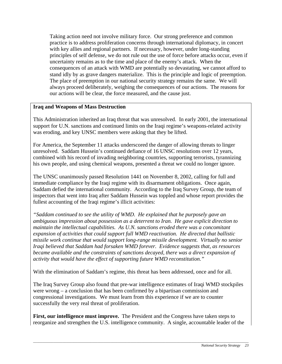Taking action need not involve military force. Our strong preference and common practice is to address proliferation concerns through international diplomacy, in concert with key allies and regional partners. If necessary, however, under long-standing principles of self defense, we do not rule out the use of force before attacks occur, even if uncertainty remains as to the time and place of the enemy's attack. When the consequences of an attack with WMD are potentially so devastating, we cannot afford to stand idly by as grave dangers materialize. This is the principle and logic of preemption. The place of preemption in our national security strategy remains the same. We will always proceed deliberately, weighing the consequences of our actions. The reasons for our actions will be clear, the force measured, and the cause just.

#### **Iraq and Weapons of Mass Destruction**

This Administration inherited an Iraq threat that was unresolved. In early 2001, the international support for U.N. sanctions and continued limits on the Iraqi regime's weapons-related activity was eroding, and key UNSC members were asking that they be lifted.

For America, the September 11 attacks underscored the danger of allowing threats to linger unresolved. Saddam Hussein's continued defiance of 16 UNSC resolutions over 12 years, combined with his record of invading neighboring countries, supporting terrorists, tyrannizing his own people, and using chemical weapons, presented a threat we could no longer ignore.

The UNSC unanimously passed Resolution 1441 on November 8, 2002, calling for full and immediate compliance by the Iraqi regime with its disarmament obligations. Once again, Saddam defied the international community. According to the Iraq Survey Group, the team of inspectors that went into Iraq after Saddam Hussein was toppled and whose report provides the fullest accounting of the Iraqi regime's illicit activities:

*"Saddam continued to see the utility of WMD. He explained that he purposely gave an ambiguous impression about possession as a deterrent to Iran. He gave explicit direction to maintain the intellectual capabilities. As U.N. sanctions eroded there was a concomitant expansion of activities that could support full WMD reactivation. He directed that ballistic missile work continue that would support long-range missile development. Virtually no senior Iraqi believed that Saddam had forsaken WMD forever. Evidence suggests that, as resources became available and the constraints of sanctions decayed, there was a direct expansion of activity that would have the effect of supporting future WMD reconstitution."* 

With the elimination of Saddam's regime, this threat has been addressed, once and for all.

The Iraq Survey Group also found that pre-war intelligence estimates of Iraqi WMD stockpiles were wrong – a conclusion that has been confirmed by a bipartisan commission and congressional investigations. We must learn from this experience if we are to counter successfully the very real threat of proliferation.

**First, our intelligence must improve.** The President and the Congress have taken steps to reorganize and strengthen the U.S. intelligence community. A single, accountable leader of the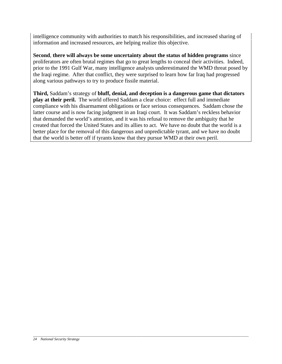intelligence community with authorities to match his responsibilities, and increased sharing of information and increased resources, are helping realize this objective.

**Second**, **there will always be some uncertainty about the status of hidden programs** since proliferators are often brutal regimes that go to great lengths to conceal their activities. Indeed, prior to the 1991 Gulf War, many intelligence analysts underestimated the WMD threat posed by the Iraqi regime. After that conflict, they were surprised to learn how far Iraq had progressed along various pathways to try to produce fissile material.

**Third,** Saddam's strategy of **bluff, denial, and deception is a dangerous game that dictators play at their peril.** The world offered Saddam a clear choice: effect full and immediate compliance with his disarmament obligations or face serious consequences. Saddam chose the latter course and is now facing judgment in an Iraqi court. It was Saddam's reckless behavior that demanded the world's attention, and it was his refusal to remove the ambiguity that he created that forced the United States and its allies to act. We have no doubt that the world is a better place for the removal of this dangerous and unpredictable tyrant, and we have no doubt that the world is better off if tyrants know that they pursue WMD at their own peril.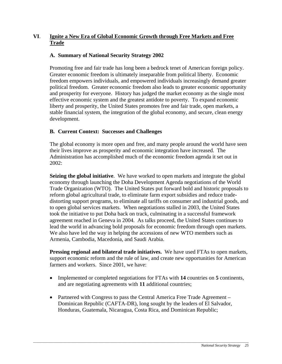# **VI**. **Ignite a New Era of Global Economic Growth through Free Markets and Free Trade**

# **A. Summary of National Security Strategy 2002**

Promoting free and fair trade has long been a bedrock tenet of American foreign policy. Greater economic freedom is ultimately inseparable from political liberty. Economic freedom empowers individuals, and empowered individuals increasingly demand greater political freedom. Greater economic freedom also leads to greater economic opportunity and prosperity for everyone. History has judged the market economy as the single most effective economic system and the greatest antidote to poverty. To expand economic liberty and prosperity, the United States promotes free and fair trade, open markets, a stable financial system, the integration of the global economy, and secure, clean energy development.

# **B. Current Context: Successes and Challenges**

The global economy is more open and free, and many people around the world have seen their lives improve as prosperity and economic integration have increased. The Administration has accomplished much of the economic freedom agenda it set out in 2002:

**Seizing the global initiative**. We have worked to open markets and integrate the global economy through launching the Doha Development Agenda negotiations of the World Trade Organization (WTO). The United States put forward bold and historic proposals to reform global agricultural trade, to eliminate farm export subsidies and reduce tradedistorting support programs, to eliminate all tariffs on consumer and industrial goods, and to open global services markets. When negotiations stalled in 2003, the United States took the initiative to put Doha back on track, culminating in a successful framework agreement reached in Geneva in 2004. As talks proceed, the United States continues to lead the world in advancing bold proposals for economic freedom through open markets. We also have led the way in helping the accessions of new WTO members such as Armenia, Cambodia, Macedonia, and Saudi Arabia.

**Pressing regional and bilateral trade initiatives.** We have used FTAs to open markets, support economic reform and the rule of law, and create new opportunities for American farmers and workers. Since 2001, we have:

- Implemented or completed negotiations for FTAs with **14** countries on **5** continents, and are negotiating agreements with **11** additional countries;
- Partnered with Congress to pass the Central America Free Trade Agreement Dominican Republic (CAFTA-DR), long sought by the leaders of El Salvador, Honduras, Guatemala, Nicaragua, Costa Rica, and Dominican Republic;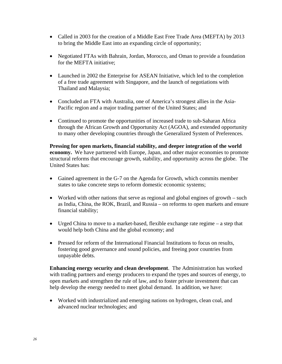- Called in 2003 for the creation of a Middle East Free Trade Area (MEFTA) by 2013 to bring the Middle East into an expanding circle of opportunity;
- Negotiated FTAs with Bahrain, Jordan, Morocco, and Oman to provide a foundation for the MEFTA initiative;
- Launched in 2002 the Enterprise for ASEAN Initiative, which led to the completion of a free trade agreement with Singapore, and the launch of negotiations with Thailand and Malaysia;
- Concluded an FTA with Australia, one of America's strongest allies in the Asia-Pacific region and a major trading partner of the United States; and
- Continued to promote the opportunities of increased trade to sub-Saharan Africa through the African Growth and Opportunity Act (AGOA), and extended opportunity to many other developing countries through the Generalized System of Preferences.

**Pressing for open markets, financial stability, and deeper integration of the world economy.** We have partnered with Europe, Japan, and other major economies to promote structural reforms that encourage growth, stability, and opportunity across the globe. The United States has:

- Gained agreement in the G-7 on the Agenda for Growth, which commits member states to take concrete steps to reform domestic economic systems;
- Worked with other nations that serve as regional and global engines of growth such as India, China, the ROK, Brazil, and Russia – on reforms to open markets and ensure financial stability;
- Urged China to move to a market-based, flexible exchange rate regime a step that would help both China and the global economy; and
- Pressed for reform of the International Financial Institutions to focus on results, fostering good governance and sound policies, and freeing poor countries from unpayable debts.

**Enhancing energy security and clean development**. The Administration has worked with trading partners and energy producers to expand the types and sources of energy, to open markets and strengthen the rule of law, and to foster private investment that can help develop the energy needed to meet global demand. In addition, we have:

• Worked with industrialized and emerging nations on hydrogen, clean coal, and advanced nuclear technologies; and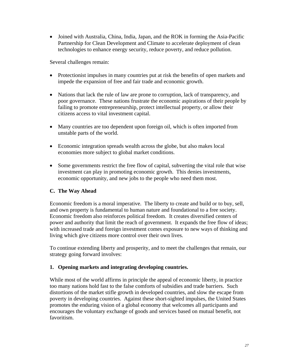• Joined with Australia, China, India, Japan, and the ROK in forming the Asia-Pacific Partnership for Clean Development and Climate to accelerate deployment of clean technologies to enhance energy security, reduce poverty, and reduce pollution.

Several challenges remain:

- Protectionist impulses in many countries put at risk the benefits of open markets and impede the expansion of free and fair trade and economic growth.
- Nations that lack the rule of law are prone to corruption, lack of transparency, and poor governance. These nations frustrate the economic aspirations of their people by failing to promote entrepreneurship, protect intellectual property, or allow their citizens access to vital investment capital.
- Many countries are too dependent upon foreign oil, which is often imported from unstable parts of the world.
- Economic integration spreads wealth across the globe, but also makes local economies more subject to global market conditions.
- Some governments restrict the free flow of capital, subverting the vital role that wise investment can play in promoting economic growth. This denies investments, economic opportunity, and new jobs to the people who need them most.

# **C. The Way Ahead**

Economic freedom is a moral imperative. The liberty to create and build or to buy, sell, and own property is fundamental to human nature and foundational to a free society. Economic freedom also reinforces political freedom. It creates diversified centers of power and authority that limit the reach of government. It expands the free flow of ideas; with increased trade and foreign investment comes exposure to new ways of thinking and living which give citizens more control over their own lives.

To continue extending liberty and prosperity, and to meet the challenges that remain, our strategy going forward involves:

#### **1. Opening markets and integrating developing countries.**

While most of the world affirms in principle the appeal of economic liberty, in practice too many nations hold fast to the false comforts of subsidies and trade barriers. Such distortions of the market stifle growth in developed countries, and slow the escape from poverty in developing countries. Against these short-sighted impulses, the United States promotes the enduring vision of a global economy that welcomes all participants and encourages the voluntary exchange of goods and services based on mutual benefit, not favoritism.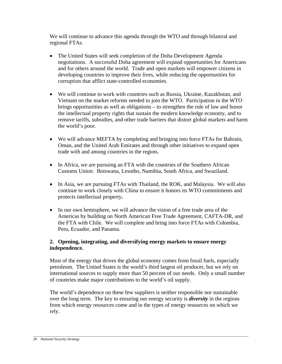We will continue to advance this agenda through the WTO and through bilateral and regional FTAs.

- The United States will seek completion of the Doha Development Agenda negotiations. A successful Doha agreement will expand opportunities for Americans and for others around the world. Trade and open markets will empower citizens in developing countries to improve their lives, while reducing the opportunities for corruption that afflict state-controlled economies.
- We will continue to work with countries such as Russia, Ukraine, Kazakhstan, and Vietnam on the market reforms needed to join the WTO. Participation in the WTO brings opportunities as well as obligations – to strengthen the rule of law and honor the intellectual property rights that sustain the modern knowledge economy, and to remove tariffs, subsidies, and other trade barriers that distort global markets and harm the world's poor.
- We will advance MEFTA by completing and bringing into force FTAs for Bahrain, Oman, and the United Arab Emirates and through other initiatives to expand open trade with and among countries in the region**.**
- In Africa, we are pursuing an FTA with the countries of the Southern African Customs Union: Botswana, Lesotho, Namibia, South Africa, and Swaziland.
- In Asia, we are pursuing FTAs with Thailand, the ROK, and Malaysia. We will also continue to work closely with China to ensure it honors its WTO commitments and protects intellectual property**.**
- In our own hemisphere, we will advance the vision of a free trade area of the Americas by building on North American Free Trade Agreement, CAFTA-DR, and the FTA with Chile. We will complete and bring into force FTAs with Colombia, Peru, Ecuador, and Panama.

# **2. Opening, integrating, and diversifying energy markets to ensure energy independence.**

Most of the energy that drives the global economy comes from fossil fuels, especially petroleum. The United States is the world's third largest oil producer, but we rely on international sources to supply more than 50 percent of our needs. Only a small number of countries make major contributions to the world's oil supply.

The world's dependence on these few suppliers is neither responsible nor sustainable over the long term. The key to ensuring our energy security is *diversity* in the regions from which energy resources come and in the types of energy resources on which we rely.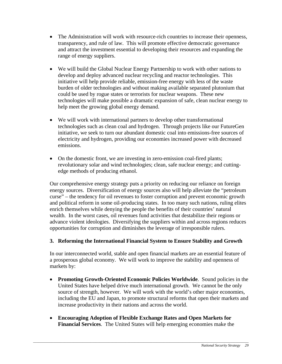- The Administration will work with resource-rich countries to increase their openness, transparency, and rule of law. This will promote effective democratic governance and attract the investment essential to developing their resources and expanding the range of energy suppliers.
- We will build the Global Nuclear Energy Partnership to work with other nations to develop and deploy advanced nuclear recycling and reactor technologies. This initiative will help provide reliable, emission-free energy with less of the waste burden of older technologies and without making available separated plutonium that could be used by rogue states or terrorists for nuclear weapons. These new technologies will make possible a dramatic expansion of safe, clean nuclear energy to help meet the growing global energy demand.
- We will work with international partners to develop other transformational technologies such as clean coal and hydrogen. Through projects like our FutureGen initiative, we seek to turn our abundant domestic coal into emissions-free sources of electricity and hydrogen, providing our economies increased power with decreased emissions.
- On the domestic front, we are investing in zero-emission coal-fired plants; revolutionary solar and wind technologies; clean, safe nuclear energy; and cuttingedge methods of producing ethanol.

Our comprehensive energy strategy puts a priority on reducing our reliance on foreign energy sources. Diversification of energy sources also will help alleviate the "petroleum curse" – the tendency for oil revenues to foster corruption and prevent economic growth and political reform in some oil-producing states. In too many such nations, ruling elites enrich themselves while denying the people the benefits of their countries' natural wealth. In the worst cases, oil revenues fund activities that destabilize their regions or advance violent ideologies. Diversifying the suppliers within and across regions reduces opportunities for corruption and diminishes the leverage of irresponsible rulers.

# **3. Reforming the International Financial System to Ensure Stability and Growth**

In our interconnected world, stable and open financial markets are an essential feature of a prosperous global economy. We will work to improve the stability and openness of markets by:

- **Promoting Growth-Oriented Economic Policies Worldwide**. Sound policies in the United States have helped drive much international growth. We cannot be the only source of strength, however. We will work with the world's other major economies, including the EU and Japan, to promote structural reforms that open their markets and increase productivity in their nations and across the world.
- **Encouraging Adoption of Flexible Exchange Rates and Open Markets for Financial Services**. The United States will help emerging economies make the

*\_\_\_\_\_\_\_\_\_\_\_\_\_\_\_\_\_\_\_\_\_\_\_\_\_\_\_\_\_\_\_\_\_\_\_\_\_\_\_\_\_\_\_\_\_\_\_\_\_\_\_\_\_\_\_\_\_\_\_\_\_\_\_\_\_\_\_\_\_\_\_\_\_\_\_\_\_\_\_\_\_\_\_\_\_\_\_\_\_\_\_\_\_\_\_\_\_\_\_\_\_\_\_\_\_\_\_\_\_\_\_\_\_\_\_\_\_*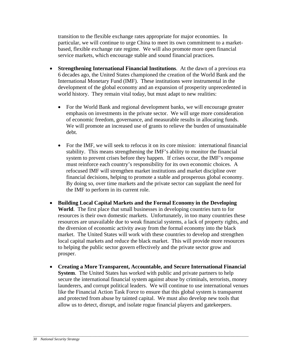transition to the flexible exchange rates appropriate for major economies. In particular, we will continue to urge China to meet its own commitment to a marketbased, flexible exchange rate regime. We will also promote more open financial service markets, which encourage stable and sound financial practices.

- **Strengthening International Financial Institutions**. At the dawn of a previous era 6 decades ago, the United States championed the creation of the World Bank and the International Monetary Fund (IMF). These institutions were instrumental in the development of the global economy and an expansion of prosperity unprecedented in world history. They remain vital today, but must adapt to new realities:
	- For the World Bank and regional development banks, we will encourage greater emphasis on investments in the private sector. We will urge more consideration of economic freedom, governance, and measurable results in allocating funds. We will promote an increased use of grants to relieve the burden of unsustainable debt.
	- For the IMF, we will seek to refocus it on its core mission: international financial stability. This means strengthening the IMF's ability to monitor the financial system to prevent crises before they happen. If crises occur, the IMF's response must reinforce each country's responsibility for its own economic choices. A refocused IMF will strengthen market institutions and market discipline over financial decisions, helping to promote a stable and prosperous global economy. By doing so, over time markets and the private sector can supplant the need for the IMF to perform in its current role.
- **Building Local Capital Markets and the Formal Economy in the Developing World**. The first place that small businesses in developing countries turn to for resources is their own domestic markets. Unfortunately, in too many countries these resources are unavailable due to weak financial systems, a lack of property rights, and the diversion of economic activity away from the formal economy into the black market. The United States will work with these countries to develop and strengthen local capital markets and reduce the black market. This will provide more resources to helping the public sector govern effectively and the private sector grow and prosper.
- **Creating a More Transparent, Accountable, and Secure International Financial System**. The United States has worked with public and private partners to help secure the international financial system against abuse by criminals, terrorists, money launderers, and corrupt political leaders. We will continue to use international venues like the Financial Action Task Force to ensure that this global system is transparent and protected from abuse by tainted capital. We must also develop new tools that allow us to detect, disrupt, and isolate rogue financial players and gatekeepers.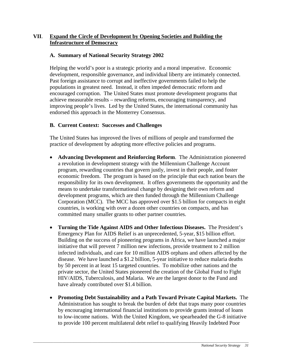# **VII**. **[Expand the Circle of Development by Opening Societies and Building the](http://www.whitehouse.gov/nsc/nss7.html)  [Infrastructure of Democracy](http://www.whitehouse.gov/nsc/nss7.html)**

# **A. Summary of National Security Strategy 2002**

Helping the world's poor is a strategic priority and a moral imperative. Economic development, responsible governance, and individual liberty are intimately connected. Past foreign assistance to corrupt and ineffective governments failed to help the populations in greatest need. Instead, it often impeded democratic reform and encouraged corruption. The United States must promote development programs that achieve measurable results – rewarding reforms, encouraging transparency, and improving people's lives. Led by the United States, the international community has endorsed this approach in the Monterrey Consensus.

# **B. Current Context: Successes and Challenges**

The United States has improved the lives of millions of people and transformed the practice of development by adopting more effective policies and programs.

- **Advancing Development and Reinforcing Reform**. The Administration pioneered a revolution in development strategy with the Millennium Challenge Account program, rewarding countries that govern justly, invest in their people, and foster economic freedom. The program is based on the principle that each nation bears the responsibility for its own development. It offers governments the opportunity and the means to undertake transformational change by designing their own reform and development programs, which are then funded through the Millennium Challenge Corporation (MCC). The MCC has approved over \$1.5 billion for compacts in eight countries, is working with over a dozen other countries on compacts, and has committed many smaller grants to other partner countries.
- **Turning the Tide Against AIDS and Other Infectious Diseases.** The President's Emergency Plan for AIDS Relief is an unprecedented, 5-year, \$15 billion effort. Building on the success of pioneering programs in Africa, we have launched a major initiative that will prevent 7 million new infections, provide treatment to 2 million infected individuals, and care for 10 million AIDS orphans and others affected by the disease. We have launched a \$1.2 billion, 5-year initiative to reduce malaria deaths by 50 percent in at least 15 targeted countries. To mobilize other nations and the private sector, the United States pioneered the creation of the Global Fund to Fight HIV/AIDS, Tuberculosis, and Malaria. We are the largest donor to the Fund and have already contributed over \$1.4 billion.
- **Promoting Debt Sustainability and a Path Toward Private Capital Markets.** The Administration has sought to break the burden of debt that traps many poor countries by encouraging international financial institutions to provide grants instead of loans to low-income nations. With the United Kingdom, we spearheaded the G-8 initiative to provide 100 percent multilateral debt relief to qualifying Heavily Indebted Poor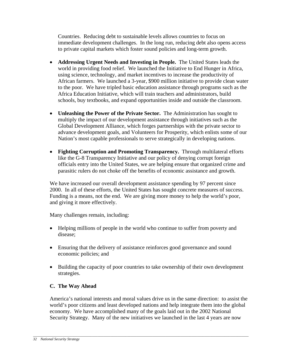Countries. Reducing debt to sustainable levels allows countries to focus on immediate development challenges. In the long run, reducing debt also opens access to private capital markets which foster sound policies and long-term growth.

- **Addressing Urgent Needs and Investing in People.** The United States leads the world in providing food relief. We launched the Initiative to End Hunger in Africa, using science, technology, and market incentives to increase the productivity of African farmers. We launched a 3-year, \$900 million initiative to provide clean water to the poor. We have tripled basic education assistance through programs such as the Africa Education Initiative, which will train teachers and administrators, build schools, buy textbooks, and expand opportunities inside and outside the classroom.
- **Unleashing the Power of the Private Sector.** The Administration has sought to multiply the impact of our development assistance through initiatives such as the Global Development Alliance, which forges partnerships with the private sector to advance development goals, and Volunteers for Prosperity, which enlists some of our Nation's most capable professionals to serve strategically in developing nations.
- **Fighting Corruption and Promoting Transparency.** Through multilateral efforts like the G-8 Transparency Initiative and our policy of denying corrupt foreign officials entry into the United States, we are helping ensure that organized crime and parasitic rulers do not choke off the benefits of economic assistance and growth.

We have increased our overall development assistance spending by 97 percent since 2000. In all of these efforts, the United States has sought concrete measures of success. Funding is a means, not the end. We are giving more money to help the world's poor, and giving it more effectively.

Many challenges remain, including:

- Helping millions of people in the world who continue to suffer from poverty and disease;
- Ensuring that the delivery of assistance reinforces good governance and sound economic policies; and
- Building the capacity of poor countries to take ownership of their own development strategies.

# **C. The Way Ahead**

America's national interests and moral values drive us in the same direction: to assist the world's poor citizens and least developed nations and help integrate them into the global economy. We have accomplished many of the goals laid out in the 2002 National Security Strategy. Many of the new initiatives we launched in the last 4 years are now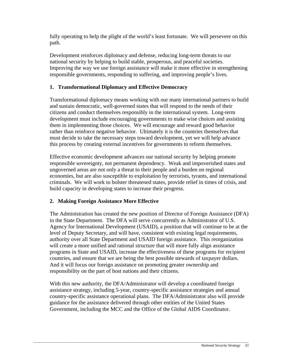fully operating to help the plight of the world's least fortunate. We will persevere on this path.

Development reinforces diplomacy and defense, reducing long-term threats to our national security by helping to build stable, prosperous, and peaceful societies. Improving the way we use foreign assistance will make it more effective in strengthening responsible governments, responding to suffering, and improving people's lives.

### **1. Transformational Diplomacy and Effective Democracy**

Transformational diplomacy means working with our many international partners to build and sustain democratic, well-governed states that will respond to the needs of their citizens and conduct themselves responsibly in the international system. Long-term development must include encouraging governments to make wise choices and assisting them in implementing those choices. We will encourage and reward good behavior rather than reinforce negative behavior. Ultimately it is the countries themselves that must decide to take the necessary steps toward development, yet we will help advance this process by creating external incentives for governments to reform themselves.

Effective economic development advances our national security by helping promote responsible sovereignty, not permanent dependency. Weak and impoverished states and ungoverned areas are not only a threat to their people and a burden on regional economies, but are also susceptible to exploitation by terrorists, tyrants, and international criminals. We will work to bolster threatened states, provide relief in times of crisis, and build capacity in developing states to increase their progress.

#### **2. Making Foreign Assistance More Effective**

The Administration has created the new position of Director of Foreign Assistance (DFA) in the State Department. The DFA will serve concurrently as Administrator of U.S. Agency for International Development (USAID), a position that will continue to be at the level of Deputy Secretary, and will have, consistent with existing legal requirements, authority over all State Department and USAID foreign assistance. This reorganization will create a more unified and rational structure that will more fully align assistance programs in State and USAID, increase the effectiveness of these programs for recipient countries, and ensure that we are being the best possible stewards of taxpayer dollars. And it will focus our foreign assistance on promoting greater ownership and responsibility on the part of host nations and their citizens.

With this new authority, the DFA/Administrator will develop a coordinated foreign assistance strategy, including 5-year, country-specific assistance strategies and annual country-specific assistance operational plans. The DFA/Administrator also will provide guidance for the assistance delivered through other entities of the United States Government, including the MCC and the Office of the Global AIDS Coordinator.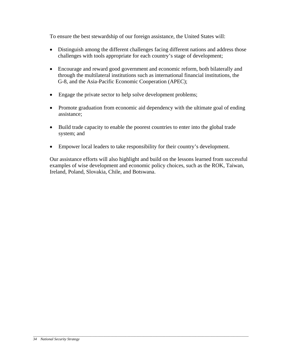To ensure the best stewardship of our foreign assistance, the United States will:

- Distinguish among the different challenges facing different nations and address those challenges with tools appropriate for each country's stage of development;
- Encourage and reward good government and economic reform, both bilaterally and through the multilateral institutions such as international financial institutions, the G-8, and the Asia-Pacific Economic Cooperation (APEC);
- Engage the private sector to help solve development problems;
- Promote graduation from economic aid dependency with the ultimate goal of ending assistance;
- Build trade capacity to enable the poorest countries to enter into the global trade system; and
- Empower local leaders to take responsibility for their country's development.

Our assistance efforts will also highlight and build on the lessons learned from successful examples of wise development and economic policy choices, such as the ROK, Taiwan, Ireland, Poland, Slovakia, Chile, and Botswana.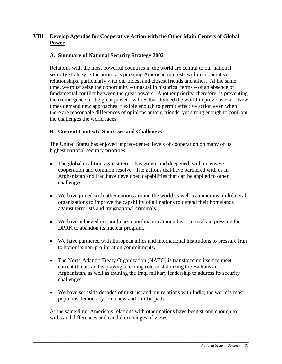# **VIII**. **[Develop Agendas for Cooperative Action with the Other Main Centers of Global](http://www.whitehouse.gov/nsc/nss8.html)  [Power](http://www.whitehouse.gov/nsc/nss8.html)**

# **A. Summary of National Security Strategy 2002**

Relations with the most powerful countries in the world are central to our national security strategy. Our priority is pursuing American interests within cooperative relationships, particularly with our oldest and closest friends and allies. At the same time, we must seize the opportunity – unusual in historical terms – of an absence of fundamental conflict between the great powers. Another priority, therefore, is preventing the reemergence of the great power rivalries that divided the world in previous eras. New times demand new approaches, flexible enough to permit effective action even when there are reasonable differences of opinions among friends, yet strong enough to confront the challenges the world faces.

#### **B. Current Context: Successes and Challenges**

The United States has enjoyed unprecedented levels of cooperation on many of its highest national security priorities:

- The global coalition against terror has grown and deepened, with extensive cooperation and common resolve. The nations that have partnered with us in Afghanistan and Iraq have developed capabilities that can be applied to other challenges.
- We have joined with other nations around the world as well as numerous multilateral organizations to improve the capability of all nations to defend their homelands against terrorists and transnational criminals.
- We have achieved extraordinary coordination among historic rivals in pressing the DPRK to abandon its nuclear program.
- We have partnered with European allies and international institutions to pressure Iran to honor its non-proliferation commitments.
- The North Atlantic Treaty Organization (NATO) is transforming itself to meet current threats and is playing a leading role in stabilizing the Balkans and Afghanistan, as well as training the Iraqi military leadership to address its security challenges.
- We have set aside decades of mistrust and put relations with India, the world's most populous democracy, on a new and fruitful path.

At the same time, America's relations with other nations have been strong enough to withstand differences and candid exchanges of views.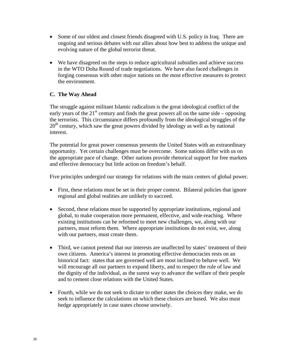- Some of our oldest and closest friends disagreed with U.S. policy in Iraq. There are ongoing and serious debates with our allies about how best to address the unique and evolving nature of the global terrorist threat.
- We have disagreed on the steps to reduce agricultural subsidies and achieve success in the WTO Doha Round of trade negotiations. We have also faced challenges in forging consensus with other major nations on the most effective measures to protect the environment.

#### **C. The Way Ahead**

The struggle against militant Islamic radicalism is the great ideological conflict of the early years of the  $21<sup>st</sup>$  century and finds the great powers all on the same side – opposing the terrorists. This circumstance differs profoundly from the ideological struggles of the  $20<sup>th</sup>$  century, which saw the great powers divided by ideology as well as by national interest.

The potential for great power consensus presents the United States with an extraordinary opportunity. Yet certain challenges must be overcome. Some nations differ with us on the appropriate pace of change. Other nations provide rhetorical support for free markets and effective democracy but little action on freedom's behalf.

Five principles undergird our strategy for relations with the main centers of global power.

- First, these relations must be set in their proper context. Bilateral policies that ignore regional and global realities are unlikely to succeed.
- Second, these relations must be supported by appropriate institutions, regional and global, to make cooperation more permanent, effective, and wide-reaching. Where existing institutions can be reformed to meet new challenges, we, along with our partners, must reform them. Where appropriate institutions do not exist, we, along with our partners, must create them.
- Third, we cannot pretend that our interests are unaffected by states' treatment of their own citizens. America's interest in promoting effective democracies rests on an historical fact: states that are governed well are most inclined to behave well. We will encourage all our partners to expand liberty, and to respect the rule of law and the dignity of the individual, as the surest way to advance the welfare of their people and to cement close relations with the United States.
- Fourth, while we do not seek to dictate to other states the choices they make, we do seek to influence the calculations on which these choices are based. We also must hedge appropriately in case states choose unwisely.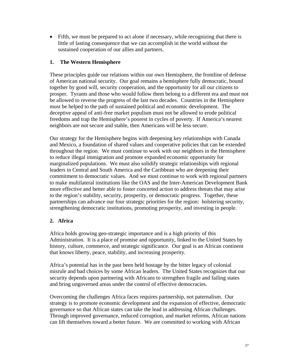• Fifth, we must be prepared to act alone if necessary, while recognizing that there is little of lasting consequence that we can accomplish in the world without the sustained cooperation of our allies and partners.

# **1. The Western Hemisphere**

These principles guide our relations within our own Hemisphere, the frontline of defense of American national security. Our goal remains a hemisphere fully democratic, bound together by good will, security cooperation, and the opportunity for all our citizens to prosper. Tyrants and those who would follow them belong to a different era and must not be allowed to reverse the progress of the last two decades. Countries in the Hemisphere must be helped to the path of sustained political and economic development. The deceptive appeal of anti-free market populism must not be allowed to erode political freedoms and trap the Hemisphere's poorest in cycles of poverty. If America's nearest neighbors are not secure and stable, then Americans will be less secure.

Our strategy for the Hemisphere begins with deepening key relationships with Canada and Mexico, a foundation of shared values and cooperative policies that can be extended throughout the region. We must continue to work with our neighbors in the Hemisphere to reduce illegal immigration and promote expanded economic opportunity for marginalized populations. We must also solidify strategic relationships with regional leaders in Central and South America and the Caribbean who are deepening their commitment to democratic values. And we must continue to work with regional partners to make multilateral institutions like the OAS and the Inter-American Development Bank more effective and better able to foster concerted action to address threats that may arise to the region's stability, security, prosperity, or democratic progress. Together, these partnerships can advance our four strategic priorities for the region: bolstering security, strengthening democratic institutions, promoting prosperity, and investing in people.

# **2. Africa**

Africa holds growing geo-strategic importance and is a high priority of this Administration. It is a place of promise and opportunity, linked to the United States by history, culture, commerce, and strategic significance. Our goal is an African continent that knows liberty, peace, stability, and increasing prosperity.

Africa's potential has in the past been held hostage by the bitter legacy of colonial misrule and bad choices by some African leaders. The United States recognizes that our security depends upon partnering with Africans to strengthen fragile and failing states and bring ungoverned areas under the control of effective democracies.

Overcoming the challenges Africa faces requires partnership, not paternalism. Our strategy is to promote economic development and the expansion of effective, democratic governance so that African states can take the lead in addressing African challenges. Through improved governance, reduced corruption, and market reforms, African nations can lift themselves toward a better future. We are committed to working with African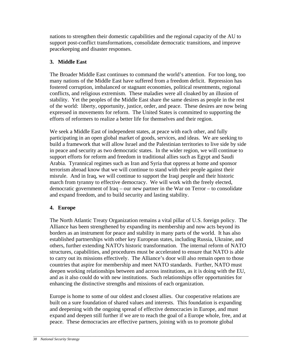nations to strengthen their domestic capabilities and the regional capacity of the AU to support post-conflict transformations, consolidate democratic transitions, and improve peacekeeping and disaster responses.

# **3. Middle East**

The Broader Middle East continues to command the world's attention. For too long, too many nations of the Middle East have suffered from a freedom deficit. Repression has fostered corruption, imbalanced or stagnant economies, political resentments, regional conflicts, and religious extremism. These maladies were all cloaked by an illusion of stability. Yet the peoples of the Middle East share the same desires as people in the rest of the world: liberty, opportunity, justice, order, and peace. These desires are now being expressed in movements for reform. The United States is committed to supporting the efforts of reformers to realize a better life for themselves and their region.

We seek a Middle East of independent states, at peace with each other, and fully participating in an open global market of goods, services, and ideas. We are seeking to build a framework that will allow Israel and the Palestinian territories to live side by side in peace and security as two democratic states. In the wider region, we will continue to support efforts for reform and freedom in traditional allies such as Egypt and Saudi Arabia. Tyrannical regimes such as Iran and Syria that oppress at home and sponsor terrorism abroad know that we will continue to stand with their people against their misrule. And in Iraq, we will continue to support the Iraqi people and their historic march from tyranny to effective democracy. We will work with the freely elected, democratic government of Iraq – our new partner in the War on Terror – to consolidate and expand freedom, and to build security and lasting stability.

# **4. Europe**

The North Atlantic Treaty Organization remains a vital pillar of U.S. foreign policy. The Alliance has been strengthened by expanding its membership and now acts beyond its borders as an instrument for peace and stability in many parts of the world. It has also established partnerships with other key European states, including Russia, Ukraine, and others, further extending NATO's historic transformation. The internal reform of NATO structures, capabilities, and procedures must be accelerated to ensure that NATO is able to carry out its missions effectively. The Alliance's door will also remain open to those countries that aspire for membership and meet NATO standards. Further, NATO must deepen working relationships between and across institutions, as it is doing with the EU, and as it also could do with new institutions. Such relationships offer opportunities for enhancing the distinctive strengths and missions of each organization.

Europe is home to some of our oldest and closest allies. Our cooperative relations are built on a sure foundation of shared values and interests. This foundation is expanding and deepening with the ongoing spread of effective democracies in Europe, and must expand and deepen still further if we are to reach the goal of a Europe whole, free, and at peace. These democracies are effective partners, joining with us to promote global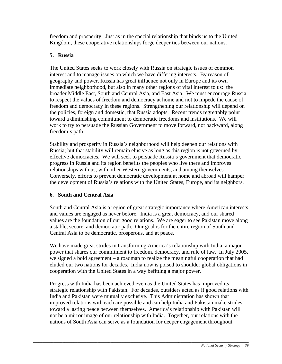freedom and prosperity. Just as in the special relationship that binds us to the United Kingdom, these cooperative relationships forge deeper ties between our nations.

### **5. Russia**

The United States seeks to work closely with Russia on strategic issues of common interest and to manage issues on which we have differing interests. By reason of geography and power, Russia has great influence not only in Europe and its own immediate neighborhood, but also in many other regions of vital interest to us: the broader Middle East, South and Central Asia, and East Asia. We must encourage Russia to respect the values of freedom and democracy at home and not to impede the cause of freedom and democracy in these regions. Strengthening our relationship will depend on the policies, foreign and domestic, that Russia adopts. Recent trends regrettably point toward a diminishing commitment to democratic freedoms and institutions. We will work to try to persuade the Russian Government to move forward, not backward, along freedom's path.

Stability and prosperity in Russia's neighborhood will help deepen our relations with Russia; but that stability will remain elusive as long as this region is not governed by effective democracies. We will seek to persuade Russia's government that democratic progress in Russia and its region benefits the peoples who live there and improves relationships with us, with other Western governments, and among themselves. Conversely, efforts to prevent democratic development at home and abroad will hamper the development of Russia's relations with the United States, Europe, and its neighbors.

# **6. South and Central Asia**

South and Central Asia is a region of great strategic importance where American interests and values are engaged as never before. India is a great democracy, and our shared values are the foundation of our good relations. We are eager to see Pakistan move along a stable, secure, and democratic path. Our goal is for the entire region of South and Central Asia to be democratic, prosperous, and at peace.

We have made great strides in transforming America's relationship with India, a major power that shares our commitment to freedom, democracy, and rule of law. In July 2005, we signed a bold agreement – a roadmap to realize the meaningful cooperation that had eluded our two nations for decades. India now is poised to shoulder global obligations in cooperation with the United States in a way befitting a major power.

Progress with India has been achieved even as the United States has improved its strategic relationship with Pakistan. For decades, outsiders acted as if good relations with India and Pakistan were mutually exclusive. This Administration has shown that improved relations with each are possible and can help India and Pakistan make strides toward a lasting peace between themselves. America's relationship with Pakistan will not be a mirror image of our relationship with India. Together, our relations with the nations of South Asia can serve as a foundation for deeper engagement throughout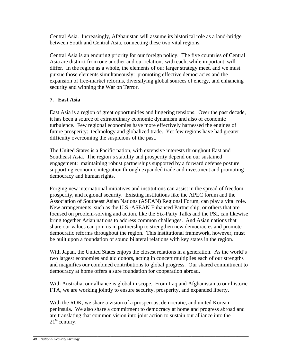Central Asia. Increasingly, Afghanistan will assume its historical role as a land-bridge between South and Central Asia, connecting these two vital regions.

Central Asia is an enduring priority for our foreign policy. The five countries of Central Asia are distinct from one another and our relations with each, while important, will differ. In the region as a whole, the elements of our larger strategy meet, and we must pursue those elements simultaneously: promoting effective democracies and the expansion of free-market reforms, diversifying global sources of energy, and enhancing security and winning the War on Terror.

# **7. East Asia**

East Asia is a region of great opportunities and lingering tensions. Over the past decade, it has been a source of extraordinary economic dynamism and also of economic turbulence. Few regional economies have more effectively harnessed the engines of future prosperity: technology and globalized trade. Yet few regions have had greater difficulty overcoming the suspicions of the past.

The United States is a Pacific nation, with extensive interests throughout East and Southeast Asia. The region's stability and prosperity depend on our sustained engagement: maintaining robust partnerships supported by a forward defense posture supporting economic integration through expanded trade and investment and promoting democracy and human rights.

Forging new international initiatives and institutions can assist in the spread of freedom, prosperity, and regional security. Existing institutions like the APEC forum and the Association of Southeast Asian Nations (ASEAN) Regional Forum, can play a vital role. New arrangements, such as the U.S.-ASEAN Enhanced Partnership, or others that are focused on problem-solving and action, like the Six-Party Talks and the PSI, can likewise bring together Asian nations to address common challenges. And Asian nations that share our values can join us in partnership to strengthen new democracies and promote democratic reforms throughout the region. This institutional framework, however, must be built upon a foundation of sound bilateral relations with key states in the region.

With Japan, the United States enjoys the closest relations in a generation. As the world's two largest economies and aid donors, acting in concert multiplies each of our strengths and magnifies our combined contributions to global progress. Our shared commitment to democracy at home offers a sure foundation for cooperation abroad.

With Australia, our alliance is global in scope. From Iraq and Afghanistan to our historic FTA, we are working jointly to ensure security, prosperity, and expanded liberty.

With the ROK, we share a vision of a prosperous, democratic, and united Korean peninsula. We also share a commitment to democracy at home and progress abroad and are translating that common vision into joint action to sustain our alliance into the  $21^{\text{st}}$  century.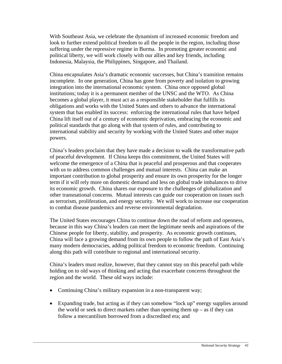With Southeast Asia, we celebrate the dynamism of increased economic freedom and look to further extend political freedom to all the people in the region, including those suffering under the repressive regime in Burma. In promoting greater economic and political liberty, we will work closely with our allies and key friends, including Indonesia, Malaysia, the Philippines, Singapore, and Thailand.

China encapsulates Asia's dramatic economic successes, but China's transition remains incomplete. In one generation, China has gone from poverty and isolation to growing integration into the international economic system. China once opposed global institutions; today it is a permanent member of the UNSC and the WTO. As China becomes a global player, it must act as a responsible stakeholder that fulfills its obligations and works with the United States and others to advance the international system that has enabled its success: enforcing the international rules that have helped China lift itself out of a century of economic deprivation, embracing the economic and political standards that go along with that system of rules, and contributing to international stability and security by working with the United States and other major powers.

China's leaders proclaim that they have made a decision to walk the transformative path of peaceful development. If China keeps this commitment, the United States will welcome the emergence of a China that is peaceful and prosperous and that cooperates with us to address common challenges and mutual interests. China can make an important contribution to global prosperity and ensure its own prosperity for the longer term if it will rely more on domestic demand and less on global trade imbalances to drive its economic growth. China shares our exposure to the challenges of globalization and other transnational concerns. Mutual interests can guide our cooperation on issues such as terrorism, proliferation, and energy security. We will work to increase our cooperation to combat disease pandemics and reverse environmental degradation.

The United States encourages China to continue down the road of reform and openness, because in this way China's leaders can meet the legitimate needs and aspirations of the Chinese people for liberty, stability, and prosperity. As economic growth continues, China will face a growing demand from its own people to follow the path of East Asia's many modern democracies, adding political freedom to economic freedom. Continuing along this path will contribute to regional and international security.

China's leaders must realize, however, that they cannot stay on this peaceful path while holding on to old ways of thinking and acting that exacerbate concerns throughout the region and the world. These old ways include:

- Continuing China's military expansion in a non-transparent way;
- Expanding trade, but acting as if they can somehow "lock up" energy supplies around the world or seek to direct markets rather than opening them  $up - as$  if they can follow a mercantilism borrowed from a discredited era; and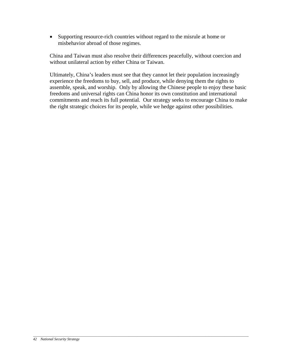• Supporting resource-rich countries without regard to the misrule at home or misbehavior abroad of those regimes.

China and Taiwan must also resolve their differences peacefully, without coercion and without unilateral action by either China or Taiwan.

Ultimately, China's leaders must see that they cannot let their population increasingly experience the freedoms to buy, sell, and produce, while denying them the rights to assemble, speak, and worship. Only by allowing the Chinese people to enjoy these basic freedoms and universal rights can China honor its own constitution and international commitments and reach its full potential. Our strategy seeks to encourage China to make the right strategic choices for its people, while we hedge against other possibilities.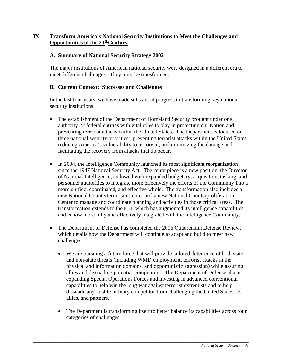# **IX**. **[Transform America's National Security Institutions to Meet the Challenges and](http://www.whitehouse.gov/nsc/nss9.html)  Opportunities of the 21<sup>st</sup> Century**

### **A. Summary of National Security Strategy 2002**

The major institutions of American national security were designed in a different era to meet different challenges. They must be transformed.

### **B. Current Context: Successes and Challenges**

In the last four years, we have made substantial progress in transforming key national security institutions.

- The establishment of the Department of Homeland Security brought under one authority 22 federal entities with vital roles to play in protecting our Nation and preventing terrorist attacks within the United States. The Department is focused on three national security priorities: preventing terrorist attacks within the United States; reducing America's vulnerability to terrorism; and minimizing the damage and facilitating the recovery from attacks that do occur.
- In 2004, the Intelligence Community launched its most significant reorganization since the 1947 National Security Act. The centerpiece is a new position, the Director of National Intelligence, endowed with expanded budgetary, acquisition, tasking, and personnel authorities to integrate more effectively the efforts of the Community into a more unified, coordinated, and effective whole. The transformation also includes a new National Counterterrorism Center and a new National Counterproliferation Center to manage and coordinate planning and activities in those critical areas. The transformation extends to the FBI, which has augmented its intelligence capabilities and is now more fully and effectively integrated with the Intelligence Community.
- The Department of Defense has completed the 2006 Quadrennial Defense Review, which details how the Department will continue to adapt and build to meet new challenges.
	- We are pursuing a future force that will provide tailored deterrence of both state and non-state threats (including WMD employment, terrorist attacks in the physical and information domains, and opportunistic aggression) while assuring allies and dissuading potential competitors. The Department of Defense also is expanding Special Operations Forces and investing in advanced conventional capabilities to help win the long war against terrorist extremists and to help dissuade any hostile military competitor from challenging the United States, its allies, and partners.
	- The Department is transforming itself to better balance its capabilities across four categories of challenges: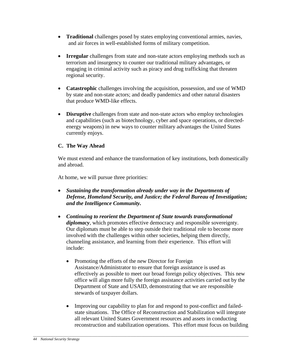- **Traditional** challenges posed by states employing conventional armies, navies, and air forces in well-established forms of military competition.
- **Irregular** challenges from state and non-state actors employing methods such as terrorism and insurgency to counter our traditional military advantages, or engaging in criminal activity such as piracy and drug trafficking that threaten regional security.
- **Catastrophic** challenges involving the acquisition, possession, and use of WMD by state and non-state actors; and deadly pandemics and other natural disasters that produce WMD-like effects.
- **Disruptive** challenges from state and non-state actors who employ technologies and capabilities (such as biotechnology, cyber and space operations, or directedenergy weapons) in new ways to counter military advantages the United States currently enjoys.

# **C. The Way Ahead**

We must extend and enhance the transformation of key institutions, both domestically and abroad.

At home, we will pursue three priorities:

- *Sustaining the transformation already under way in the Departments of Defense, Homeland Security, and Justice; the Federal Bureau of Investigation; and the Intelligence Community.*
- *Continuing to reorient the Department of State towards transformational diplomacy,* which promotes effective democracy and responsible sovereignty. Our diplomats must be able to step outside their traditional role to become more involved with the challenges within other societies, helping them directly, channeling assistance, and learning from their experience. This effort will include:
	- Promoting the efforts of the new Director for Foreign Assistance/Administrator to ensure that foreign assistance is used as effectively as possible to meet our broad foreign policy objectives. This new office will align more fully the foreign assistance activities carried out by the Department of State and USAID, demonstrating that we are responsible stewards of taxpayer dollars.
	- Improving our capability to plan for and respond to post-conflict and failedstate situations. The Office of Reconstruction and Stabilization will integrate all relevant United States Government resources and assets in conducting reconstruction and stabilization operations. This effort must focus on building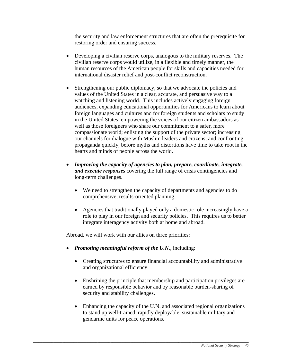the security and law enforcement structures that are often the prerequisite for restoring order and ensuring success.

- Developing a civilian reserve corps, analogous to the military reserves. The civilian reserve corps would utilize, in a flexible and timely manner, the human resources of the American people for skills and capacities needed for international disaster relief and post-conflict reconstruction.
- Strengthening our public diplomacy, so that we advocate the policies and values of the United States in a clear, accurate, and persuasive way to a watching and listening world. This includes actively engaging foreign audiences, expanding educational opportunities for Americans to learn about foreign languages and cultures and for foreign students and scholars to study in the United States; empowering the voices of our citizen ambassadors as well as those foreigners who share our commitment to a safer, more compassionate world; enlisting the support of the private sector; increasing our channels for dialogue with Muslim leaders and citizens; and confronting propaganda quickly, before myths and distortions have time to take root in the hearts and minds of people across the world.
- *Improving the capacity of agencies to plan, prepare, coordinate, integrate, and execute responses* covering the full range of crisis contingencies and long-term challenges.
	- We need to strengthen the capacity of departments and agencies to do comprehensive, results-oriented planning.
	- Agencies that traditionally played only a domestic role increasingly have a role to play in our foreign and security policies. This requires us to better integrate interagency activity both at home and abroad.

Abroad, we will work with our allies on three priorities:

- *Promoting meaningful reform of the U.N.*, including:
	- Creating structures to ensure financial accountability and administrative and organizational efficiency.
	- Enshrining the principle that membership and participation privileges are earned by responsible behavior and by reasonable burden-sharing of security and stability challenges.
	- Enhancing the capacity of the U.N. and associated regional organizations to stand up well-trained, rapidly deployable, sustainable military and gendarme units for peace operations.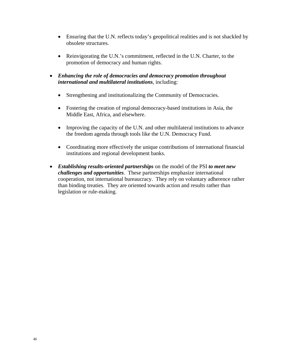- Ensuring that the U.N. reflects today's geopolitical realities and is not shackled by obsolete structures.
- Reinvigorating the U.N.'s commitment, reflected in the U.N. Charter, to the promotion of democracy and human rights.
- *Enhancing the role of democracies and democracy promotion throughout international and multilateral institutions*, including:
	- Strengthening and institutionalizing the Community of Democracies.
	- Fostering the creation of regional democracy-based institutions in Asia, the Middle East, Africa, and elsewhere.
	- Improving the capacity of the U.N. and other multilateral institutions to advance the freedom agenda through tools like the U.N. Democracy Fund.
	- Coordinating more effectively the unique contributions of international financial institutions and regional development banks.
- *Establishing results-oriented partnerships* on the model of the PSI *to meet new challenges and opportunities*. These partnerships emphasize international cooperation, not international bureaucracy. They rely on voluntary adherence rather than binding treaties. They are oriented towards action and results rather than legislation or rule-making.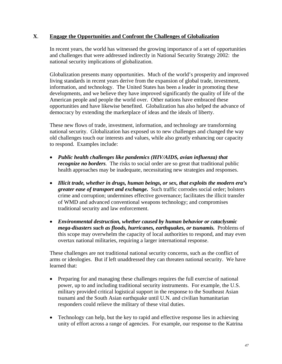#### **X**. **Engage the Opportunities and Confront the Challenges of Globalization**

In recent years, the world has witnessed the growing importance of a set of opportunities and challenges that were addressed indirectly in National Security Strategy 2002: the national security implications of globalization.

Globalization presents many opportunities. Much of the world's prosperity and improved living standards in recent years derive from the expansion of global trade, investment, information, and technology. The United States has been a leader in promoting these developments, and we believe they have improved significantly the quality of life of the American people and people the world over. Other nations have embraced these opportunities and have likewise benefited. Globalization has also helped the advance of democracy by extending the marketplace of ideas and the ideals of liberty.

These new flows of trade, investment, information, and technology are transforming national security. Globalization has exposed us to new challenges and changed the way old challenges touch our interests and values, while also greatly enhancing our capacity to respond. Examples include:

- *Public health challenges like pandemics (HIV/AIDS, avian influenza) that recognize no borders.* The risks to social order are so great that traditional public health approaches may be inadequate, necessitating new strategies and responses.
- *Illicit trade, whether in drugs, human beings, or sex, that exploits the modern era's greater ease of transport and exchange.* Such traffic corrodes social order; bolsters crime and corruption; undermines effective governance; facilitates the illicit transfer of WMD and advanced conventional weapons technology; and compromises traditional security and law enforcement.
- *Environmental destruction, whether caused by human behavior or cataclysmic mega-disasters such as floods, hurricanes, earthquakes, or tsunamis.* Problems of this scope may overwhelm the capacity of local authorities to respond, and may even overtax national militaries, requiring a larger international response.

These challenges are not traditional national security concerns, such as the conflict of arms or ideologies. But if left unaddressed they can threaten national security. We have learned that:

- Preparing for and managing these challenges requires the full exercise of national power, up to and including traditional security instruments. For example, the U.S. military provided critical logistical support in the response to the Southeast Asian tsunami and the South Asian earthquake until U.N. and civilian humanitarian responders could relieve the military of these vital duties.
- Technology can help, but the key to rapid and effective response lies in achieving unity of effort across a range of agencies. For example, our response to the Katrina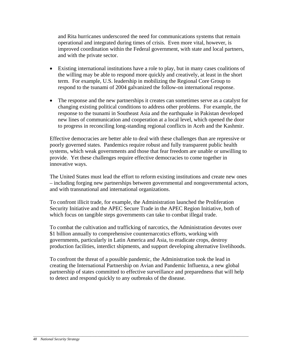and Rita hurricanes underscored the need for communications systems that remain operational and integrated during times of crisis. Even more vital, however, is improved coordination within the Federal government, with state and local partners, and with the private sector.

- Existing international institutions have a role to play, but in many cases coalitions of the willing may be able to respond more quickly and creatively, at least in the short term. For example, U.S. leadership in mobilizing the Regional Core Group to respond to the tsunami of 2004 galvanized the follow-on international response.
- The response and the new partnerships it creates can sometimes serve as a catalyst for changing existing political conditions to address other problems. For example, the response to the tsunami in Southeast Asia and the earthquake in Pakistan developed new lines of communication and cooperation at a local level, which opened the door to progress in reconciling long-standing regional conflicts in Aceh and the Kashmir.

Effective democracies are better able to deal with these challenges than are repressive or poorly governed states. Pandemics require robust and fully transparent public health systems, which weak governments and those that fear freedom are unable or unwilling to provide. Yet these challenges require effective democracies to come together in innovative ways.

The United States must lead the effort to reform existing institutions and create new ones – including forging new partnerships between governmental and nongovernmental actors, and with transnational and international organizations.

To confront illicit trade, for example, the Administration launched the Proliferation Security Initiative and the APEC Secure Trade in the APEC Region Initiative, both of which focus on tangible steps governments can take to combat illegal trade.

To combat the cultivation and trafficking of narcotics, the Administration devotes over \$1 billion annually to comprehensive counternarcotics efforts, working with governments, particularly in Latin America and Asia, to eradicate crops, destroy production facilities, interdict shipments, and support developing alternative livelihoods.

To confront the threat of a possible pandemic, the Administration took the lead in creating the International Partnership on Avian and Pandemic Influenza, a new global partnership of states committed to effective surveillance and preparedness that will help to detect and respond quickly to any outbreaks of the disease.